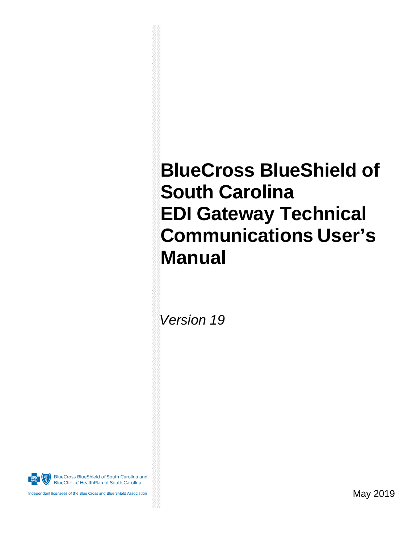# **BlueCross BlueShield of South Carolina EDI Gateway Technical Communications User's Manual**

 *Version 19*

**BlueCross BlueShield of South Carolina and BlueChoice HealthPlan of South Carolina** 

Independent licensees of the Blue Cross and Blue Shield Association

May 2019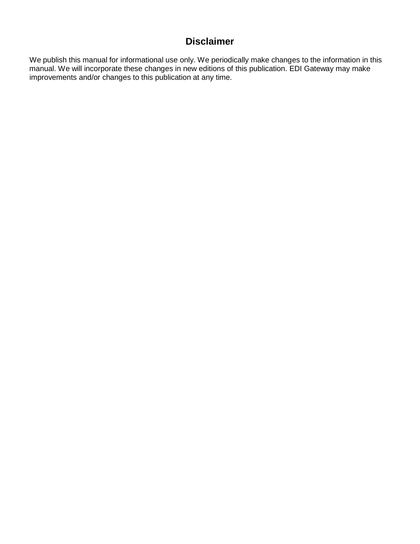## **Disclaimer**

We publish this manual for informational use only. We periodically make changes to the information in this manual. We will incorporate these changes in new editions of this publication. EDI Gateway may make improvements and/or changes to this publication at any time.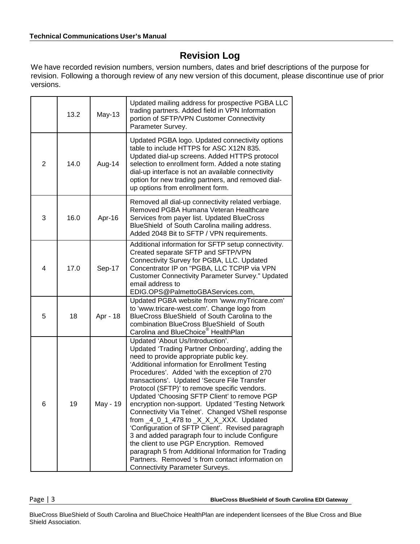## **Revision Log**

We have recorded revision numbers, version numbers, dates and brief descriptions of the purpose for revision. Following a thorough review of any new version of this document, please discontinue use of prior versions.

|   | 13.2 | May-13   | Updated mailing address for prospective PGBA LLC<br>trading partners. Added field in VPN Information<br>portion of SFTP/VPN Customer Connectivity<br>Parameter Survey.                                                                                                                                                                                                                                                                                                                                                                                                                                                                                                                                                                                                                                                                                 |
|---|------|----------|--------------------------------------------------------------------------------------------------------------------------------------------------------------------------------------------------------------------------------------------------------------------------------------------------------------------------------------------------------------------------------------------------------------------------------------------------------------------------------------------------------------------------------------------------------------------------------------------------------------------------------------------------------------------------------------------------------------------------------------------------------------------------------------------------------------------------------------------------------|
| 2 | 14.0 | Aug-14   | Updated PGBA logo. Updated connectivity options<br>table to include HTTPS for ASC X12N 835.<br>Updated dial-up screens. Added HTTPS protocol<br>selection to enrollment form. Added a note stating<br>dial-up interface is not an available connectivity<br>option for new trading partners, and removed dial-<br>up options from enrollment form.                                                                                                                                                                                                                                                                                                                                                                                                                                                                                                     |
| 3 | 16.0 | Apr-16   | Removed all dial-up connectivity related verbiage.<br>Removed PGBA Humana Veteran Healthcare<br>Services from payer list. Updated BlueCross<br>BlueShield of South Carolina mailing address.<br>Added 2048 Bit to SFTP / VPN requirements.                                                                                                                                                                                                                                                                                                                                                                                                                                                                                                                                                                                                             |
| 4 | 17.0 | Sep-17   | Additional information for SFTP setup connectivity.<br>Created separate SFTP and SFTP/VPN<br>Connectivity Survey for PGBA, LLC. Updated<br>Concentrator IP on "PGBA, LLC TCPIP via VPN<br><b>Customer Connectivity Parameter Survey." Updated</b><br>email address to<br>EDIG.OPS@PalmettoGBAServices.com,                                                                                                                                                                                                                                                                                                                                                                                                                                                                                                                                             |
| 5 | 18   | Apr - 18 | Updated PGBA website from 'www.myTricare.com'<br>to 'www.tricare-west.com'. Change logo from<br>BlueCross BlueShield of South Carolina to the<br>combination BlueCross BlueShield of South<br>Carolina and BlueChoice <sup>®</sup> HealthPlan                                                                                                                                                                                                                                                                                                                                                                                                                                                                                                                                                                                                          |
| 6 | 19   | May - 19 | Updated 'About Us/Introduction'.<br>Updated 'Trading Partner Onboarding', adding the<br>need to provide appropriate public key.<br>'Additional information for Enrollment Testing<br>Procedures'. Added 'with the exception of 270<br>transactions'. Updated 'Secure File Transfer<br>Protocol (SFTP)' to remove specific vendors.<br>Updated 'Choosing SFTP Client' to remove PGP<br>encryption non-support. Updated 'Testing Network<br>Connectivity Via Telnet'. Changed VShell response<br>from $_4_0_1_4$ 78 to $_x_x_x_x$ XXX. Updated<br>'Configuration of SFTP Client'. Revised paragraph<br>3 and added paragraph four to include Configure<br>the client to use PGP Encryption. Removed<br>paragraph 5 from Additional Information for Trading<br>Partners. Removed 's from contact information on<br><b>Connectivity Parameter Surveys.</b> |

Page | 3 **BlueCross BlueShield of South Carolina EDI Gateway**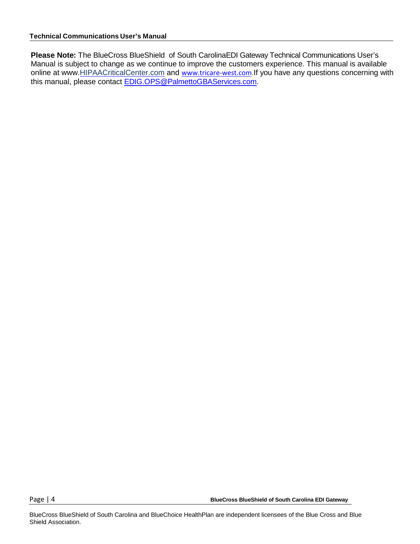**Please Note:** The BlueCross BlueShield of South CarolinaEDI Gateway Technical Communications User's Manual is subject to change as we continue to improve the customers experience. This manual is available online at www[.HIPAACriticalCenter.](http://www.hipaacriticalcenter.com/)com and [www.tricare-west.com.](http://www.tricare-west.com/)If you have any questions concerning with this manual, please contact [EDIG.OPS@PalmettoGBAServices.com.](mailto:EDIG.OPS@PalmettoGBAservices.com) 

Page | 4 **BlueCross BlueShield of South Carolina EDI Gateway**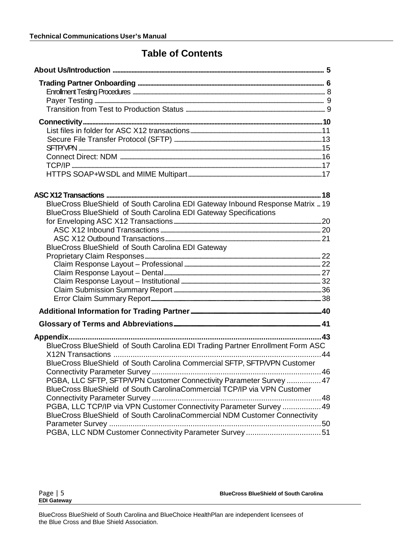### **Table of Contents**

| BlueCross BlueShield of South Carolina EDI Gateway Inbound Response Matrix  19 |  |
|--------------------------------------------------------------------------------|--|
|                                                                                |  |
| BlueCross BlueShield of South Carolina EDI Gateway Specifications              |  |
|                                                                                |  |
|                                                                                |  |
| BlueCross BlueShield of South Carolina EDI Gateway                             |  |
|                                                                                |  |
|                                                                                |  |
|                                                                                |  |
|                                                                                |  |
|                                                                                |  |
|                                                                                |  |
|                                                                                |  |
|                                                                                |  |
|                                                                                |  |
| BlueCross BlueShield of South Carolina EDI Trading Partner Enrollment Form ASC |  |
|                                                                                |  |
| BlueCross BlueShield of South Carolina Commercial SFTP, SFTP/VPN Customer      |  |
|                                                                                |  |
| PGBA, LLC SFTP, SFTP/VPN Customer Connectivity Parameter Survey  47            |  |
| BlueCross BlueShield of South CarolinaCommercial TCP/IP via VPN Customer       |  |
|                                                                                |  |
| PGBA, LLC TCP/IP via VPN Customer Connectivity Parameter Survey  49            |  |
| BlueCross BlueShield of South CarolinaCommercial NDM Customer Connectivity     |  |
|                                                                                |  |
| PGBA, LLC NDM Customer Connectivity Parameter Survey 51                        |  |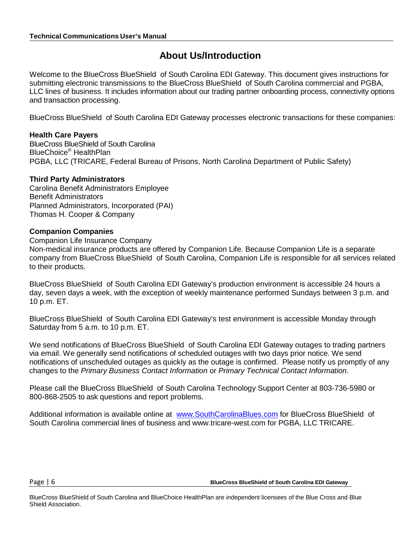### **About Us/Introduction**

Welcome to the BlueCross BlueShield of South Carolina EDI Gateway. This document gives instructions for submitting electronic transmissions to the BlueCross BlueShield of South Carolina commercial and PGBA, LLC lines of business. It includes information about our trading partner onboarding process, connectivity options and transaction processing.

BlueCross BlueShield of South Carolina EDI Gateway processes electronic transactions for these companies:

#### **Health Care Payers**

BlueCross BlueShield of South Carolina BlueChoice® HealthPlan PGBA, LLC (TRICARE, Federal Bureau of Prisons, North Carolina Department of Public Safety)

#### **Third Party Administrators**

Carolina Benefit Administrators Employee Benefit Administrators Planned Administrators, Incorporated (PAI) Thomas H. Cooper & Company

#### **Companion Companies**

Companion Life Insurance Company

Non-medical insurance products are offered by Companion Life. Because Companion Life is a separate company from BlueCross BlueShield of South Carolina, Companion Life is responsible for all services related to their products.

BlueCross BlueShield of South Carolina EDI Gateway's production environment is accessible 24 hours a day, seven days a week, with the exception of weekly maintenance performed Sundays between 3 p.m. and 10 p.m. ET.

BlueCross BlueShield of South Carolina EDI Gateway's test environment is accessible Monday through Saturday from 5 a.m. to 10 p.m. ET.

We send notifications of BlueCross BlueShield of South Carolina EDI Gateway outages to trading partners via email. We generally send notifications of scheduled outages with two days prior notice. We send notifications of unscheduled outages as quickly as the outage is confirmed. Please notify us promptly of any changes to the *Primary Business Contact Information* or *Primary Technical Contact Information*.

Please call the BlueCross BlueShield of South Carolina Technology Support Center at 803-736-5980 or 800-868-2505 to ask questions and report problems.

Additional information is available online at [www.SouthCarolinaBlues.com](http://www.southcarolinablues.com/) for BlueCross BlueShield of South Carolina commercial lines of business and www.tricare-west.com for PGBA, LLC TRICARE.

Page | 6 **BlueCross BlueShield of South Carolina EDI Gateway**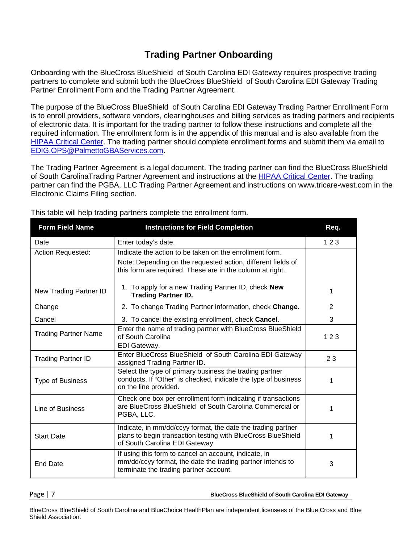### **Trading Partner Onboarding**

Onboarding with the BlueCross BlueShield of South Carolina EDI Gateway requires prospective trading partners to complete and submit both the BlueCross BlueShield of South Carolina EDI Gateway Trading Partner Enrollment Form and the Trading Partner Agreement.

The purpose of the BlueCross BlueShield of South Carolina EDI Gateway Trading Partner Enrollment Form is to enroll providers, software vendors, clearinghouses and billing services as trading partners and recipients of electronic data. It is important for the trading partner to follow these instructions and complete all the required information. The enrollment form is in the appendix of this manual and is also available from the [HIPAA Critical Center.](http://www.hipaacriticalcenter.com/resources/technicalinformation.aspx) The trading partner should complete enrollment forms and submit them via email to [EDIG.OPS@PalmettoGBAServices.com.](mailto:EDIG.OPS@PalmettoGBAservices.com)

The Trading Partner Agreement is a legal document. The trading partner can find the BlueCross BlueShield of South CarolinaTrading Partner Agreement and instructions at the [HIPAA Critical](http://www.hipaacriticalcenter.com/enrollmentandagreements.aspx) Center. The trading partner can find the PGBA, LLC Trading Partner Agreement and instructions on www.tricare-west.com in the Electronic Claims Filing section.

| <b>Form Field Name</b>      | <b>Instructions for Field Completion</b>                                                                                                                                             | Req. |
|-----------------------------|--------------------------------------------------------------------------------------------------------------------------------------------------------------------------------------|------|
| Date                        | Enter today's date.                                                                                                                                                                  | 123  |
| Action Requested:           | Indicate the action to be taken on the enrollment form.<br>Note: Depending on the requested action, different fields of<br>this form are required. These are in the column at right. |      |
| New Trading Partner ID      | 1. To apply for a new Trading Partner ID, check <b>New</b><br><b>Trading Partner ID.</b>                                                                                             | 1    |
| Change                      | 2. To change Trading Partner information, check Change.                                                                                                                              | 2    |
| Cancel                      | 3. To cancel the existing enrollment, check Cancel.                                                                                                                                  | 3    |
| <b>Trading Partner Name</b> | Enter the name of trading partner with BlueCross BlueShield<br>of South Carolina<br>EDI Gateway.                                                                                     | 123  |
| <b>Trading Partner ID</b>   | Enter BlueCross BlueShield of South Carolina EDI Gateway<br>assigned Trading Partner ID.                                                                                             | 23   |
| <b>Type of Business</b>     | Select the type of primary business the trading partner<br>conducts. If "Other" is checked, indicate the type of business<br>on the line provided.                                   | 1    |
| Line of Business            | Check one box per enrollment form indicating if transactions<br>are BlueCross BlueShield of South Carolina Commercial or<br>PGBA, LLC.                                               | 1    |
| <b>Start Date</b>           | Indicate, in mm/dd/ccyy format, the date the trading partner<br>plans to begin transaction testing with BlueCross BlueShield<br>of South Carolina EDI Gateway.                       | 1    |
| <b>End Date</b>             | If using this form to cancel an account, indicate, in<br>mm/dd/ccyy format, the date the trading partner intends to<br>terminate the trading partner account.                        | 3    |

This table will help trading partners complete the enrollment form.

Page | 7 **BlueCross BlueShield of South Carolina EDI Gateway**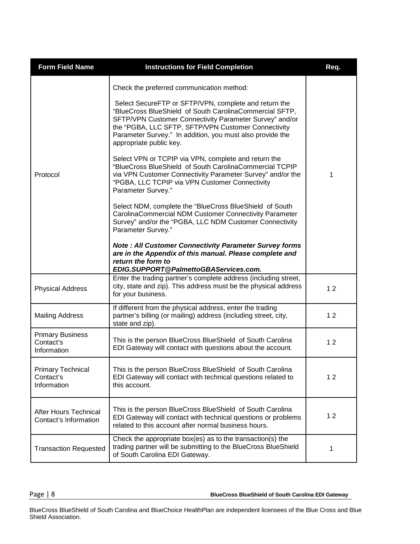| <b>Form Field Name</b>                                | <b>Instructions for Field Completion</b>                                                                                                                                                                                                                                                                                                                                                                                                                                                                                                                                                                                                                                                                                                               | Req. |
|-------------------------------------------------------|--------------------------------------------------------------------------------------------------------------------------------------------------------------------------------------------------------------------------------------------------------------------------------------------------------------------------------------------------------------------------------------------------------------------------------------------------------------------------------------------------------------------------------------------------------------------------------------------------------------------------------------------------------------------------------------------------------------------------------------------------------|------|
| Protocol                                              | Check the preferred communication method:<br>Select SecureFTP or SFTP/VPN, complete and return the<br>"BlueCross BlueShield of South CarolinaCommercial SFTP,<br>SFTP/VPN Customer Connectivity Parameter Survey" and/or<br>the "PGBA, LLC SFTP, SFTP/VPN Customer Connectivity<br>Parameter Survey." In addition, you must also provide the<br>appropriate public key.<br>Select VPN or TCPIP via VPN, complete and return the<br>"BlueCross BlueShield of South CarolinaCommercial TCPIP<br>via VPN Customer Connectivity Parameter Survey" and/or the<br>"PGBA, LLC TCPIP via VPN Customer Connectivity<br>Parameter Survey."<br>Select NDM, complete the "BlueCross BlueShield of South"<br>CarolinaCommercial NDM Customer Connectivity Parameter | 1    |
| <b>Physical Address</b>                               | Survey" and/or the "PGBA, LLC NDM Customer Connectivity<br>Parameter Survey."<br><b>Note: All Customer Connectivity Parameter Survey forms</b><br>are in the Appendix of this manual. Please complete and<br>return the form to<br>EDIG.SUPPORT@PalmettoGBAServices.com.<br>Enter the trading partner's complete address (including street,<br>city, state and zip). This address must be the physical address                                                                                                                                                                                                                                                                                                                                         | 12   |
| <b>Mailing Address</b>                                | for your business.<br>If different from the physical address, enter the trading<br>partner's billing (or mailing) address (including street, city,                                                                                                                                                                                                                                                                                                                                                                                                                                                                                                                                                                                                     | 12   |
| <b>Primary Business</b><br>Contact's<br>Information   | state and zip).<br>This is the person BlueCross BlueShield of South Carolina<br>EDI Gateway will contact with questions about the account.                                                                                                                                                                                                                                                                                                                                                                                                                                                                                                                                                                                                             | 12   |
| <b>Primary Technical</b><br>Contact's<br>Information  | This is the person BlueCross BlueShield of South Carolina<br>EDI Gateway will contact with technical questions related to<br>this account.                                                                                                                                                                                                                                                                                                                                                                                                                                                                                                                                                                                                             | 12   |
| <b>After Hours Technical</b><br>Contact's Information | This is the person BlueCross BlueShield of South Carolina<br>EDI Gateway will contact with technical questions or problems<br>related to this account after normal business hours.                                                                                                                                                                                                                                                                                                                                                                                                                                                                                                                                                                     | 12   |
| <b>Transaction Requested</b>                          | Check the appropriate box(es) as to the transaction(s) the<br>trading partner will be submitting to the BlueCross BlueShield<br>of South Carolina EDI Gateway.                                                                                                                                                                                                                                                                                                                                                                                                                                                                                                                                                                                         | 1    |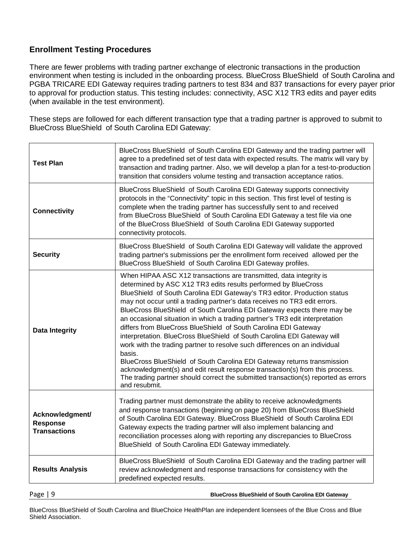#### **Enrollment Testing Procedures**

There are fewer problems with trading partner exchange of electronic transactions in the production environment when testing is included in the onboarding process. BlueCross BlueShield of South Carolina and PGBA TRICARE EDI Gateway requires trading partners to test 834 and 837 transactions for every payer prior to approval for production status. This testing includes: connectivity, ASC X12 TR3 edits and payer edits (when available in the test environment).

These steps are followed for each different transaction type that a trading partner is approved to submit to BlueCross BlueShield of South Carolina EDI Gateway:

| <b>Test Plan</b>                                          | BlueCross BlueShield of South Carolina EDI Gateway and the trading partner will<br>agree to a predefined set of test data with expected results. The matrix will vary by<br>transaction and trading partner. Also, we will develop a plan for a test-to-production<br>transition that considers volume testing and transaction acceptance ratios.                                                                                                                                                                                                                                                                                                                                                                                                                                                                                                                                                                                                                |  |  |  |  |  |  |
|-----------------------------------------------------------|------------------------------------------------------------------------------------------------------------------------------------------------------------------------------------------------------------------------------------------------------------------------------------------------------------------------------------------------------------------------------------------------------------------------------------------------------------------------------------------------------------------------------------------------------------------------------------------------------------------------------------------------------------------------------------------------------------------------------------------------------------------------------------------------------------------------------------------------------------------------------------------------------------------------------------------------------------------|--|--|--|--|--|--|
| <b>Connectivity</b>                                       | BlueCross BlueShield of South Carolina EDI Gateway supports connectivity<br>protocols in the "Connectivity" topic in this section. This first level of testing is<br>complete when the trading partner has successfully sent to and received<br>from BlueCross BlueShield of South Carolina EDI Gateway a test file via one<br>of the BlueCross BlueShield of South Carolina EDI Gateway supported<br>connectivity protocols.                                                                                                                                                                                                                                                                                                                                                                                                                                                                                                                                    |  |  |  |  |  |  |
| <b>Security</b>                                           | BlueCross BlueShield of South Carolina EDI Gateway will validate the approved<br>trading partner's submissions per the enrollment form received allowed per the<br>BlueCross BlueShield of South Carolina EDI Gateway profiles.                                                                                                                                                                                                                                                                                                                                                                                                                                                                                                                                                                                                                                                                                                                                  |  |  |  |  |  |  |
| <b>Data Integrity</b>                                     | When HIPAA ASC X12 transactions are transmitted, data integrity is<br>determined by ASC X12 TR3 edits results performed by BlueCross<br>BlueShield of South Carolina EDI Gateway's TR3 editor. Production status<br>may not occur until a trading partner's data receives no TR3 edit errors.<br>BlueCross BlueShield of South Carolina EDI Gateway expects there may be<br>an occasional situation in which a trading partner's TR3 edit interpretation<br>differs from BlueCross BlueShield of South Carolina EDI Gateway<br>interpretation. BlueCross BlueShield of South Carolina EDI Gateway will<br>work with the trading partner to resolve such differences on an individual<br>basis.<br>BlueCross BlueShield of South Carolina EDI Gateway returns transmission<br>acknowledgment(s) and edit result response transaction(s) from this process.<br>The trading partner should correct the submitted transaction(s) reported as errors<br>and resubmit. |  |  |  |  |  |  |
| Acknowledgment/<br><b>Response</b><br><b>Transactions</b> | Trading partner must demonstrate the ability to receive acknowledgments<br>and response transactions (beginning on page 20) from BlueCross BlueShield<br>of South Carolina EDI Gateway. BlueCross BlueShield of South Carolina EDI<br>Gateway expects the trading partner will also implement balancing and<br>reconciliation processes along with reporting any discrepancies to BlueCross<br>BlueShield of South Carolina EDI Gateway immediately.                                                                                                                                                                                                                                                                                                                                                                                                                                                                                                             |  |  |  |  |  |  |
| <b>Results Analysis</b>                                   | BlueCross BlueShield of South Carolina EDI Gateway and the trading partner will<br>review acknowledgment and response transactions for consistency with the<br>predefined expected results.                                                                                                                                                                                                                                                                                                                                                                                                                                                                                                                                                                                                                                                                                                                                                                      |  |  |  |  |  |  |

Page | 9 **BlueCross BlueShield of South Carolina EDI Gateway**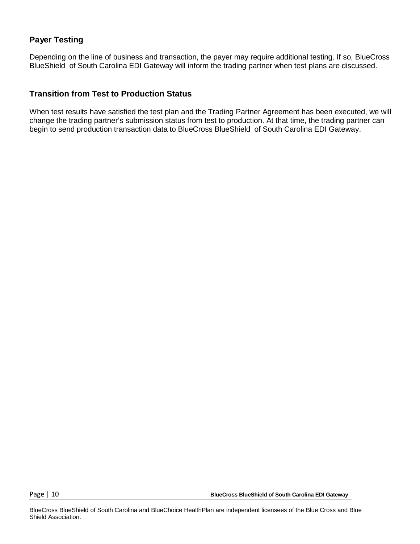### **Payer Testing**

Depending on the line of business and transaction, the payer may require additional testing. If so, BlueCross BlueShield of South Carolina EDI Gateway will inform the trading partner when test plans are discussed.

#### **Transition from Test to Production Status**

When test results have satisfied the test plan and the Trading Partner Agreement has been executed, we will change the trading partner's submission status from test to production. At that time, the trading partner can begin to send production transaction data to BlueCross BlueShield of South Carolina EDI Gateway.

Page | 10 **BlueCross BlueShield of South Carolina EDI Gateway**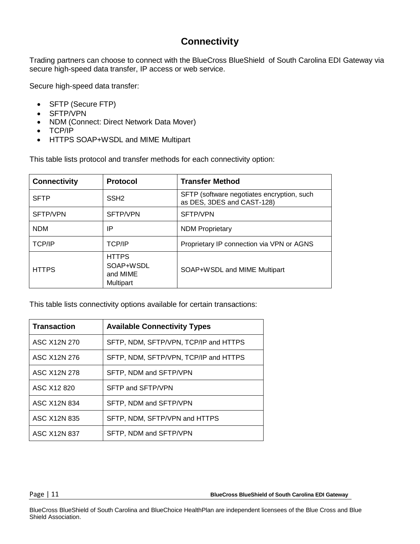### **Connectivity**

Trading partners can choose to connect with the BlueCross BlueShield of South Carolina EDI Gateway via secure high-speed data transfer, IP access or web service.

Secure high-speed data transfer:

- SFTP (Secure FTP)
- SFTP/VPN
- NDM (Connect: Direct Network Data Mover)
- TCP/IP
- HTTPS SOAP+WSDL and MIME Multipart

This table lists protocol and transfer methods for each connectivity option:

| <b>Connectivity</b> | <b>Protocol</b>                                    | <b>Transfer Method</b>                                                   |  |  |  |  |
|---------------------|----------------------------------------------------|--------------------------------------------------------------------------|--|--|--|--|
| <b>SFTP</b>         | SSH <sub>2</sub>                                   | SFTP (software negotiates encryption, such<br>as DES, 3DES and CAST-128) |  |  |  |  |
| SFTP/VPN            | SFTP/VPN                                           | SFTP/VPN                                                                 |  |  |  |  |
| <b>NDM</b>          | ΙP                                                 | <b>NDM Proprietary</b>                                                   |  |  |  |  |
| TCP/IP              | <b>TCP/IP</b>                                      | Proprietary IP connection via VPN or AGNS                                |  |  |  |  |
| <b>HTTPS</b>        | <b>HTTPS</b><br>SOAP+WSDL<br>and MIME<br>Multipart | SOAP+WSDL and MIME Multipart                                             |  |  |  |  |

This table lists connectivity options available for certain transactions:

| <b>Transaction</b>  | <b>Available Connectivity Types</b>   |
|---------------------|---------------------------------------|
| ASC X12N 270        | SFTP, NDM, SFTP/VPN, TCP/IP and HTTPS |
| ASC X12N 276        | SFTP, NDM, SFTP/VPN, TCP/IP and HTTPS |
| ASC X12N 278        | SFTP, NDM and SFTP/VPN                |
| ASC X12 820         | SFTP and SFTP/VPN                     |
| ASC X12N 834        | SFTP, NDM and SFTP/VPN                |
| ASC X12N 835        | SFTP, NDM, SFTP/VPN and HTTPS         |
| <b>ASC X12N 837</b> | SFTP, NDM and SFTP/VPN                |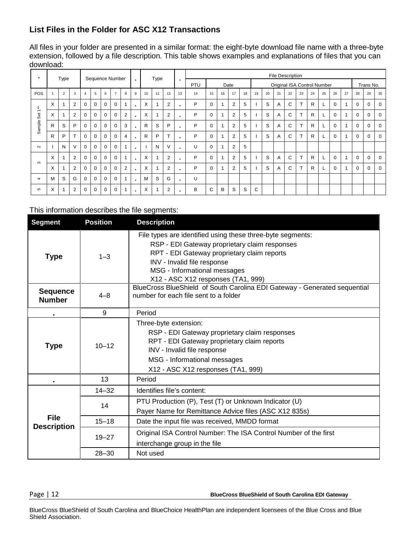### **List Files in the Folder for ASC X12 Transactions**

All files in your folder are presented in a similar format: the eight-byte download file name with a three-byte extension, followed by a file description. This table shows examples and explanations of files that you can download:

| $\star$                         |   | Type           |                |          |          |          | Sequence Number |                |                |    | Type |                 |    | File Description |          |    |                |    |                             |    |    |    |              |              |    |          |                          |          |             |             |
|---------------------------------|---|----------------|----------------|----------|----------|----------|-----------------|----------------|----------------|----|------|-----------------|----|------------------|----------|----|----------------|----|-----------------------------|----|----|----|--------------|--------------|----|----------|--------------------------|----------|-------------|-------------|
|                                 |   |                |                |          |          |          |                 |                | $\blacksquare$ |    |      |                 | ٠  | PTU              |          |    | Date           |    | Original ISA Control Number |    |    |    |              |              |    |          | Trans No.                |          |             |             |
| <b>POS</b>                      |   | $\overline{2}$ | 3              |          | 5        | 6        | $\overline{7}$  | 8              | 9              | 10 | 11   | 12              | 13 | 14               | 15       | 16 | 17             | 18 | 19                          | 20 | 21 | 22 | 23           | 24           | 25 | 26       | 27                       | 28       | 29          | 30          |
| - 60                            | X |                | $\overline{2}$ | $\Omega$ | $\Omega$ | $\Omega$ | $\Omega$        | $\overline{A}$ | $\blacksquare$ | X  |      | $\overline{2}$  |    | P                | $\Omega$ |    | $\overline{2}$ | 5  |                             | S  | A  | C  | $\mathbf{r}$ | $\mathsf{R}$ |    | 0        | $\overline{\phantom{a}}$ | $\Omega$ | $\Omega$    | $\mathbf 0$ |
| $\overline{\phantom{0}}$<br>Set | X |                | $\overline{2}$ | $\Omega$ | $\Omega$ | $\Omega$ | $\Omega$        | 2              | $\blacksquare$ | X  |      | $\overline{2}$  | ٠  | P                | $\Omega$ |    | $\overline{2}$ | 5  |                             | S  | A  | C  | $\mathbf$    | R            |    | $\Omega$ |                          | $\Omega$ | 0           | 0           |
| Sample                          | R | S              | P              | 0        | 0        | $\Omega$ | 0               | 3              | $\blacksquare$ | R  | S    | P               |    | P                | 0        |    | 2              | 5  |                             | S  | A  | C  | $\mathbf$    | R            |    | 0        |                          | 0        | 0           | $\mathbf 0$ |
|                                 | R | P              | $\mathbf$      | $\Omega$ | $\Omega$ | $\Omega$ | 0               | $\overline{4}$ | $\blacksquare$ | R  | P    | $\mathbf{\tau}$ |    | P                | $\Omega$ |    | $\overline{2}$ | 5  |                             | S  | A  | C  |              | R            |    | $\Omega$ |                          | $\Omega$ | 0           | $\mathbf 0$ |
| $\sim$                          |   | N              | $\vee$         | $\Omega$ | $\Omega$ | $\Omega$ | $\Omega$        | $\overline{A}$ | ٠.             |    | N    | $\vee$          | ٠  | U                | $\Omega$ |    | 2              | 5  |                             |    |    |    |              |              |    |          |                          |          |             |             |
| $\infty$                        | X |                | $\overline{2}$ | $\Omega$ | $\Omega$ | $\Omega$ | 0               |                | $\blacksquare$ | X  |      | $\overline{2}$  |    | P                | $\Omega$ |    | $\overline{2}$ | 5  |                             | S  | A  | C  | $\mathbf$    | R            |    | $\Omega$ |                          | $\Omega$ | $\mathbf 0$ | $\mathbf 0$ |
|                                 | X |                | $\overline{2}$ | $\Omega$ | $\Omega$ | $\Omega$ | $\Omega$        | 2              | $\blacksquare$ | X  |      | $\overline{2}$  |    | P                | $\Omega$ |    | $\overline{2}$ | 5  |                             | S  | A  | C  |              | R            |    | $\Omega$ |                          | $\Omega$ | 0           | 0           |
| 4                               | м | S              | G              | $\Omega$ | $\Omega$ | $\Omega$ | 0               |                | $\blacksquare$ | M  | S    | G               | ٠  | U                |          |    |                |    |                             |    |    |    |              |              |    |          |                          |          |             |             |
| 5                               | X |                | $\overline{2}$ | 0        | 0        | 0        | 0               |                | $\blacksquare$ | X  |      | $\overline{2}$  |    | B                | C        | В  | S              | S  | C                           |    |    |    |              |              |    |          |                          |          |             |             |

#### This information describes the file segments:

| <b>Segment</b>                   | <b>Position</b> | <b>Description</b>                                                                                                                                                                                                                                              |  |  |  |  |  |
|----------------------------------|-----------------|-----------------------------------------------------------------------------------------------------------------------------------------------------------------------------------------------------------------------------------------------------------------|--|--|--|--|--|
| <b>Type</b>                      | $1 - 3$         | File types are identified using these three-byte segments:<br>RSP - EDI Gateway proprietary claim responses<br>RPT - EDI Gateway proprietary claim reports<br>INV - Invalid file response<br>MSG - Informational messages<br>X12 - ASC X12 responses (TA1, 999) |  |  |  |  |  |
| <b>Sequence</b><br><b>Number</b> | $4 - 8$         | BlueCross BlueShield of South Carolina EDI Gateway - Generated sequential<br>number for each file sent to a folder                                                                                                                                              |  |  |  |  |  |
|                                  | 9               | Period                                                                                                                                                                                                                                                          |  |  |  |  |  |
| <b>Type</b>                      | $10 - 12$       | Three-byte extension:<br>RSP - EDI Gateway proprietary claim responses<br>RPT - EDI Gateway proprietary claim reports<br>INV - Invalid file response<br>MSG - Informational messages<br>X12 - ASC X12 responses (TA1, 999)                                      |  |  |  |  |  |
|                                  | 13              | Period                                                                                                                                                                                                                                                          |  |  |  |  |  |
|                                  | $14 - 32$       | Identifies file's content:                                                                                                                                                                                                                                      |  |  |  |  |  |
|                                  | 14              | PTU Production (P), Test (T) or Unknown Indicator (U)<br>Payer Name for Remittance Advice files (ASC X12 835s)                                                                                                                                                  |  |  |  |  |  |
| <b>File</b>                      | $15 - 18$       | Date the input file was received, MMDD format                                                                                                                                                                                                                   |  |  |  |  |  |
| <b>Description</b>               | $19 - 27$       | Original ISA Control Number: The ISA Control Number of the first<br>interchange group in the file                                                                                                                                                               |  |  |  |  |  |
|                                  | $28 - 30$       | Not used                                                                                                                                                                                                                                                        |  |  |  |  |  |

Page | 12 **BlueCross BlueShield of South Carolina EDI Gateway**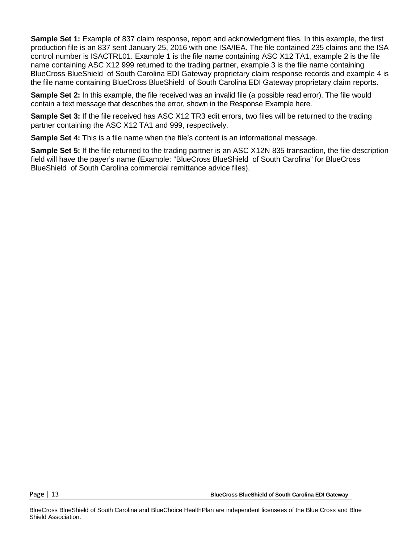**Sample Set 1:** Example of 837 claim response, report and acknowledgment files. In this example, the first production file is an 837 sent January 25, 2016 with one ISA/IEA. The file contained 235 claims and the ISA control number is ISACTRL01. Example 1 is the file name containing ASC X12 TA1, example 2 is the file name containing ASC X12 999 returned to the trading partner, example 3 is the file name containing BlueCross BlueShield of South Carolina EDI Gateway proprietary claim response records and example 4 is the file name containing BlueCross BlueShield of South Carolina EDI Gateway proprietary claim reports.

**Sample Set 2:** In this example, the file received was an invalid file (a possible read error). The file would contain a text message that describes the error, shown in the Response Example here.

**Sample Set 3:** If the file received has ASC X12 TR3 edit errors, two files will be returned to the trading partner containing the ASC X12 TA1 and 999, respectively.

**Sample Set 4:** This is a file name when the file's content is an informational message.

**Sample Set 5:** If the file returned to the trading partner is an ASC X12N 835 transaction, the file description field will have the payer's name (Example: "BlueCross BlueShield of South Carolina" for BlueCross BlueShield of South Carolina commercial remittance advice files).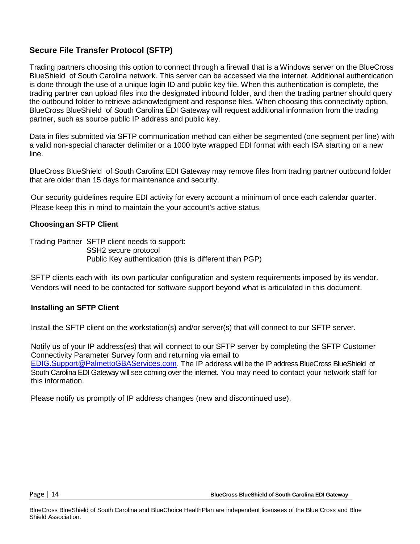#### **Secure File Transfer Protocol (SFTP)**

Trading partners choosing this option to connect through a firewall that is a Windows server on the BlueCross BlueShield of South Carolina network. This server can be accessed via the internet. Additional authentication is done through the use of a unique login ID and public key file. When this authentication is complete, the trading partner can upload files into the designated inbound folder, and then the trading partner should query the outbound folder to retrieve acknowledgment and response files. When choosing this connectivity option, BlueCross BlueShield of South Carolina EDI Gateway will request additional information from the trading partner, such as source public IP address and public key.

Data in files submitted via SFTP communication method can either be segmented (one segment per line) with a valid non-special character delimiter or a 1000 byte wrapped EDI format with each ISA starting on a new line.

BlueCross BlueShield of South Carolina EDI Gateway may remove files from trading partner outbound folder that are older than 15 days for maintenance and security.

Our security guidelines require EDI activity for every account a minimum of once each calendar quarter. Please keep this in mind to maintain the your account's active status.

#### **Choosingan SFTP Client**

Trading Partner SFTP client needs to support: SSH2 secure protocol Public Key authentication (this is different than PGP)

SFTP clients each with its own particular configuration and system requirements imposed by its vendor. Vendors will need to be contacted for software support beyond what is articulated in this document.

#### **Installing an SFTP Client**

Install the SFTP client on the workstation(s) and/or server(s) that will connect to our SFTP server.

Notify us of your IP address(es) that will connect to our SFTP server by completing the SFTP Customer Connectivity Parameter Survey form and returning via email to [EDIG.Support@PalmettoGBAServices.com.](mailto:EDIG.Support@PalmettoGBAservices.com) The IP address will be the IP address BlueCross BlueShield of South Carolina EDI Gateway will see coming over the internet. You may need to contact your network staff for this information.

Please notify us promptly of IP address changes (new and discontinued use).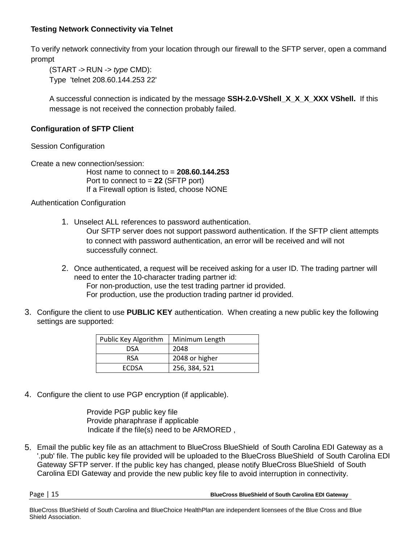#### **Testing Network Connectivity via Telnet**

To verify network connectivity from your location through our firewall to the SFTP server, open a command prompt

(START -> RUN -> *type* CMD): Type 'telnet 208.60.144.253 22'

A successful connection is indicated by the message **SSH-2.0-VShell\_X\_X\_X\_XXX VShell.** If this message is not received the connection probably failed.

#### **Configuration of SFTP Client**

Session Configuration

Create a new connection/session:

Host name to connect to = **208.60.144.253** Port to connect to = **22** (SFTP port) If a Firewall option is listed, choose NONE

Authentication Configuration

1. Unselect ALL references to password authentication.

Our SFTP server does not support password authentication. If the SFTP client attempts to connect with password authentication, an error will be received and will not successfully connect.

- 2. Once authenticated, a request will be received asking for a user ID. The trading partner will need to enter the 10-character trading partner id: For non-production, use the test trading partner id provided. For production, use the production trading partner id provided.
- 3. Configure the client to use **PUBLIC KEY** authentication. When creating a new public key the following settings are supported:

| Public Key Algorithm | Minimum Length |
|----------------------|----------------|
| DSA                  | 2048           |
| <b>RSA</b>           | 2048 or higher |
| <b>FCDSA</b>         | 256, 384, 521  |

4. Configure the client to use PGP encryption (if applicable).

 Provide PGP public key file Provide pharaphrase if applicable Indicate if the file(s) need to be ARMORED ,

5. Email the public key file as an attachment to BlueCross BlueShield of South Carolina EDI Gateway as a '.pub' file. The public key file provided will be uploaded to the BlueCross BlueShield of South Carolina EDI Gateway SFTP server. If the public key has changed, please notify BlueCross BlueShield of South Carolina EDI Gateway and provide the new public key file to avoid interruption in connectivity.

Page | 15 **BlueCross BlueShield of South Carolina EDI Gateway**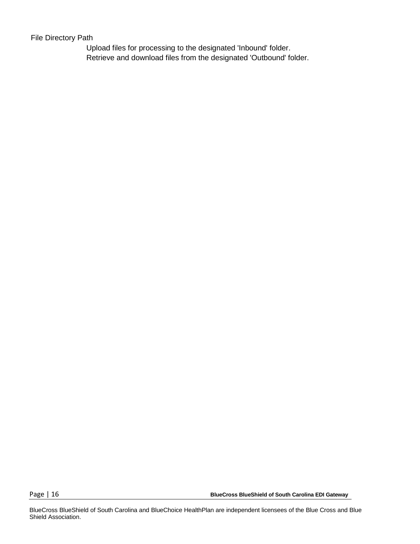#### File Directory Path

Upload files for processing to the designated 'Inbound' folder. Retrieve and download files from the designated 'Outbound' folder.

Page | 16 **BlueCross BlueShield of South Carolina EDI Gateway**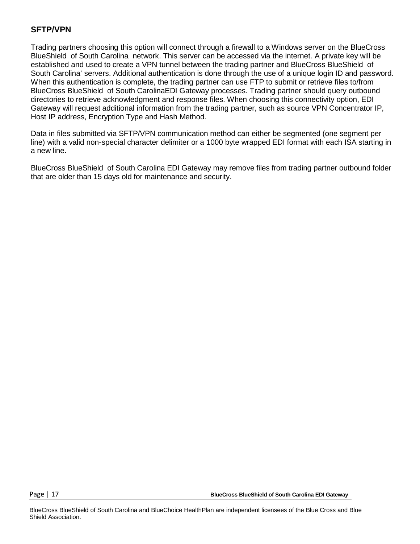#### **SFTP/VPN**

Trading partners choosing this option will connect through a firewall to a Windows server on the BlueCross BlueShield of South Carolina network. This server can be accessed via the internet. A private key will be established and used to create a VPN tunnel between the trading partner and BlueCross BlueShield of South Carolina' servers. Additional authentication is done through the use of a unique login ID and password. When this authentication is complete, the trading partner can use FTP to submit or retrieve files to/from BlueCross BlueShield of South CarolinaEDI Gateway processes. Trading partner should query outbound directories to retrieve acknowledgment and response files. When choosing this connectivity option, EDI Gateway will request additional information from the trading partner, such as source VPN Concentrator IP, Host IP address, Encryption Type and Hash Method.

Data in files submitted via SFTP/VPN communication method can either be segmented (one segment per line) with a valid non-special character delimiter or a 1000 byte wrapped EDI format with each ISA starting in a new line.

BlueCross BlueShield of South Carolina EDI Gateway may remove files from trading partner outbound folder that are older than 15 days old for maintenance and security.

Page | 17 **BlueCross BlueShield of South Carolina EDI Gateway**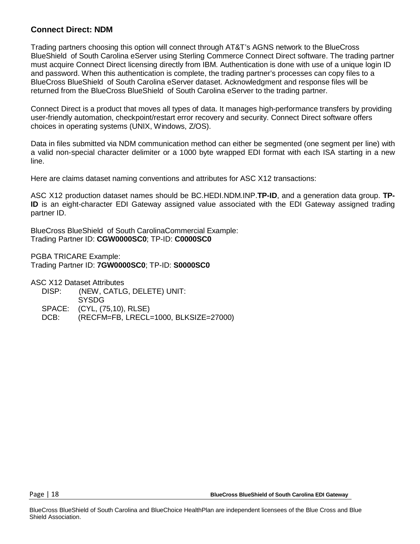#### **Connect Direct: NDM**

Trading partners choosing this option will connect through AT&T's AGNS network to the BlueCross BlueShield of South Carolina eServer using Sterling Commerce Connect Direct software. The trading partner must acquire Connect Direct licensing directly from IBM. Authentication is done with use of a unique login ID and password. When this authentication is complete, the trading partner's processes can copy files to a BlueCross BlueShield of South Carolina eServer dataset. Acknowledgment and response files will be returned from the BlueCross BlueShield of South Carolina eServer to the trading partner.

Connect Direct is a product that moves all types of data. It manages high-performance transfers by providing user-friendly automation, checkpoint/restart error recovery and security. Connect Direct software offers choices in operating systems (UNIX, Windows, Z/OS).

Data in files submitted via NDM communication method can either be segmented (one segment per line) with a valid non-special character delimiter or a 1000 byte wrapped EDI format with each ISA starting in a new line.

Here are claims dataset naming conventions and attributes for ASC X12 transactions:

ASC X12 production dataset names should be BC.HEDI.NDM.INP.**TP-ID**, and a generation data group. **TP-ID** is an eight-character EDI Gateway assigned value associated with the EDI Gateway assigned trading partner ID.

BlueCross BlueShield of South CarolinaCommercial Example: Trading Partner ID: **CGW0000SC0**; TP-ID: **C0000SC0**

PGBA TRICARE Example: Trading Partner ID: **7GW0000SC0**; TP-ID: **S0000SC0**

ASC X12 Dataset Attributes

- DISP: (NEW, CATLG, DELETE) UNIT:
- SYSDG
- SPACE: (CYL, (75,10), RLSE)
- DCB: (RECFM=FB, LRECL=1000, BLKSIZE=27000)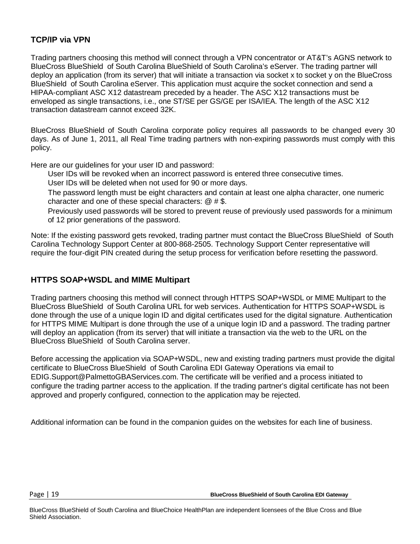#### **TCP/IP via VPN**

Trading partners choosing this method will connect through a VPN concentrator or AT&T's AGNS network to BlueCross BlueShield of South Carolina BlueShield of South Carolina's eServer. The trading partner will deploy an application (from its server) that will initiate a transaction via socket x to socket y on the BlueCross BlueShield of South Carolina eServer. This application must acquire the socket connection and send a HIPAA-compliant ASC X12 datastream preceded by a header. The ASC X12 transactions must be enveloped as single transactions, i.e., one ST/SE per GS/GE per ISA/IEA. The length of the ASC X12 transaction datastream cannot exceed 32K.

BlueCross BlueShield of South Carolina corporate policy requires all passwords to be changed every 30 days. As of June 1, 2011, all Real Time trading partners with non-expiring passwords must comply with this policy.

Here are our guidelines for your user ID and password:

User IDs will be revoked when an incorrect password is entered three consecutive times.

User IDs will be deleted when not used for 90 or more days.

 The password length must be eight characters and contain at least one alpha character, one numeric character and one of these special characters: @ # \$.

Previously used passwords will be stored to prevent reuse of previously used passwords for a minimum of 12 prior generations of the password.

Note: If the existing password gets revoked, trading partner must contact the BlueCross BlueShield of South Carolina Technology Support Center at 800-868-2505. Technology Support Center representative will require the four-digit PIN created during the setup process for verification before resetting the password.

#### **HTTPS SOAP+WSDL and MIME Multipart**

Trading partners choosing this method will connect through HTTPS SOAP+WSDL or MIME Multipart to the BlueCross BlueShield of South Carolina URL for web services. Authentication for HTTPS SOAP+WSDL is done through the use of a unique login ID and digital certificates used for the digital signature. Authentication for HTTPS MIME Multipart is done through the use of a unique login ID and a password. The trading partner will deploy an application (from its server) that will initiate a transaction via the web to the URL on the BlueCross BlueShield of South Carolina server.

Before accessing the application via SOAP+WSDL, new and existing trading partners must provide the digital certificate to BlueCross BlueShield of South Carolina EDI Gateway Operations via email to EDIG.Support@PalmettoGBAServices.com. The certificate will be verified and a process initiated to configure the trading partner access to the application. If the trading partner's digital certificate has not been approved and properly configured, connection to the application may be rejected.

Additional information can be found in the companion guides on the websites for each line of business.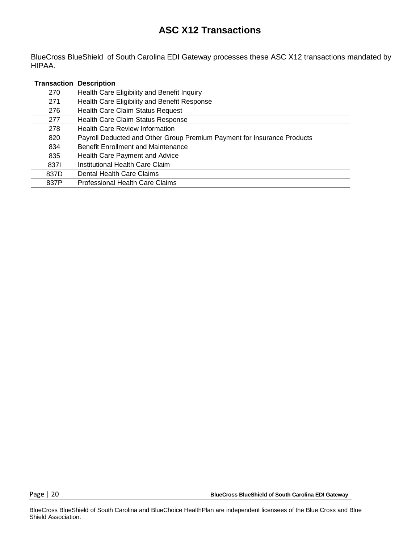### **ASC X12 Transactions**

BlueCross BlueShield of South Carolina EDI Gateway processes these ASC X12 transactions mandated by HIPAA.

| Transaction | <b>Description</b>                                                      |
|-------------|-------------------------------------------------------------------------|
| 270         | Health Care Eligibility and Benefit Inquiry                             |
| 271         | Health Care Eligibility and Benefit Response                            |
| 276         | <b>Health Care Claim Status Request</b>                                 |
| 277         | Health Care Claim Status Response                                       |
| 278         | <b>Health Care Review Information</b>                                   |
| 820         | Payroll Deducted and Other Group Premium Payment for Insurance Products |
| 834         | <b>Benefit Enrollment and Maintenance</b>                               |
| 835         | Health Care Payment and Advice                                          |
| 8371        | Institutional Health Care Claim                                         |
| 837D        | Dental Health Care Claims                                               |
| 837P        | Professional Health Care Claims                                         |

Page | 20 **BlueCross BlueShield of South Carolina EDI Gateway**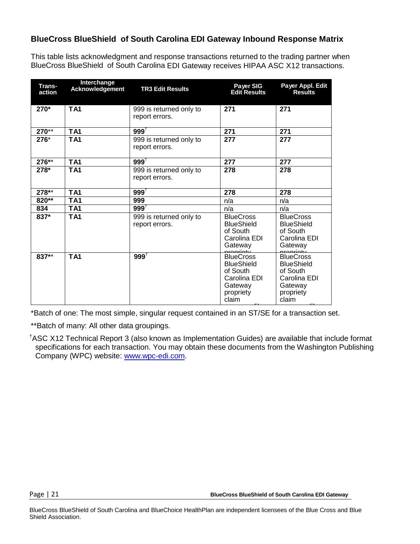### **BlueCross BlueShield of South Carolina EDI Gateway Inbound Response Matrix**

This table lists acknowledgment and response transactions returned to the trading partner when BlueCross BlueShield of South Carolina EDI Gateway receives HIPAA ASC X12 transactions.

| Trans-<br>action | Interchange<br>Acknowledgement | <b>TR3 Edit Results</b>                   | <b>Payer SIG</b><br><b>Edit Results</b>                                                            | Payer Appl. Edit<br><b>Results</b>                                                                 |
|------------------|--------------------------------|-------------------------------------------|----------------------------------------------------------------------------------------------------|----------------------------------------------------------------------------------------------------|
| 270*             | <b>TA1</b>                     | 999 is returned only to<br>report errors. | 271                                                                                                | 271                                                                                                |
| $270**$          | TA <sub>1</sub>                | $999^{\dagger}$                           | 271                                                                                                | 271                                                                                                |
| 276*             | <b>TA1</b>                     | 999 is returned only to<br>report errors. | 277                                                                                                | 277                                                                                                |
| 276**            | TA <sub>1</sub>                | $999^{\dagger}$                           | 277                                                                                                | 277                                                                                                |
| 278*             | TA <sub>1</sub>                | 999 is returned only to<br>report errors. | 278                                                                                                | 278                                                                                                |
| $278**$          | TA <sub>1</sub>                | $999^{\dagger}$                           | 278                                                                                                | 278                                                                                                |
| $820**$          | TA1                            | 999                                       | n/a                                                                                                | n/a                                                                                                |
| 834              | TA <sub>1</sub>                | $999^{+}$                                 | n/a                                                                                                | n/a                                                                                                |
| 837*             | TA <sub>1</sub>                | 999 is returned only to<br>report errors. | <b>BlueCross</b><br><b>BlueShield</b><br>of South<br>Carolina EDI<br>Gateway<br>propriaty          | <b>BlueCross</b><br><b>BlueShield</b><br>of South<br>Carolina EDI<br>Gateway<br>nronriaty          |
| 837**            | <b>TA1</b>                     | $999^{+}$                                 | <b>BlueCross</b><br><b>BlueShield</b><br>of South<br>Carolina EDI<br>Gateway<br>propriety<br>claim | <b>BlueCross</b><br><b>BlueShield</b><br>of South<br>Carolina EDI<br>Gateway<br>propriety<br>claim |

fil fil \*Batch of one: The most simple, singular request contained in an ST/SE for a transaction set.

\*\*Batch of many: All other data groupings.

† ASC X12 Technical Report 3 (also known as Implementation Guides) are available that include format specifications for each transaction. You may obtain these documents from the Washington Publishing Company (WPC) website: [www.wpc-edi.com.](http://www.wpc-edi.com/)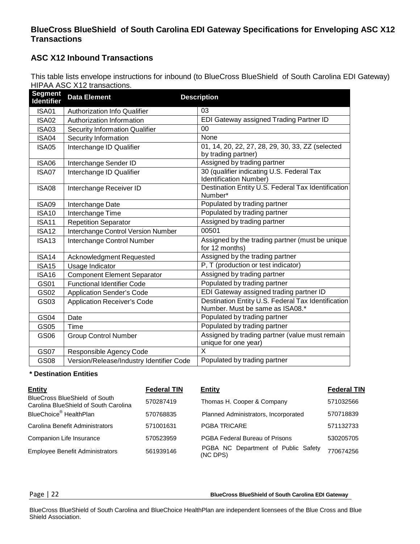#### **BlueCross BlueShield of South Carolina EDI Gateway Specifications for Enveloping ASC X12 Transactions**

#### **ASC X12 Inbound Transactions**

This table lists envelope instructions for inbound (to BlueCross BlueShield of South Carolina EDI Gateway) HIPAA ASC X12 transactions.

| <b>Segment</b><br><b>Identifier</b> | <b>Data Element</b>                      | <b>Description</b>                                                                    |
|-------------------------------------|------------------------------------------|---------------------------------------------------------------------------------------|
| ISA01                               | Authorization Info Qualifier             | 03                                                                                    |
| <b>ISA02</b>                        | Authorization Information                | EDI Gateway assigned Trading Partner ID                                               |
| <b>ISA03</b>                        | <b>Security Information Qualifier</b>    | 00                                                                                    |
| ISA04                               | Security Information                     | None                                                                                  |
| <b>ISA05</b>                        | Interchange ID Qualifier                 | 01, 14, 20, 22, 27, 28, 29, 30, 33, ZZ (selected<br>by trading partner)               |
| <b>ISA06</b>                        | Interchange Sender ID                    | Assigned by trading partner                                                           |
| ISA07                               | Interchange ID Qualifier                 | 30 (qualifier indicating U.S. Federal Tax<br>Identification Number)                   |
| <b>ISA08</b>                        | Interchange Receiver ID                  | Destination Entity U.S. Federal Tax Identification<br>Number*                         |
| <b>ISA09</b>                        | Interchange Date                         | Populated by trading partner                                                          |
| <b>ISA10</b>                        | Interchange Time                         | Populated by trading partner                                                          |
| <b>ISA11</b>                        | <b>Repetition Separator</b>              | Assigned by trading partner                                                           |
| ISA <sub>12</sub>                   | Interchange Control Version Number       | 00501                                                                                 |
| <b>ISA13</b>                        | Interchange Control Number               | Assigned by the trading partner (must be unique<br>for 12 months)                     |
| <b>ISA14</b>                        | Acknowledgment Requested                 | Assigned by the trading partner                                                       |
| <b>ISA15</b>                        | Usage Indicator                          | P, T (production or test indicator)                                                   |
| <b>ISA16</b>                        | <b>Component Element Separator</b>       | Assigned by trading partner                                                           |
| GS01                                | <b>Functional Identifier Code</b>        | Populated by trading partner                                                          |
| GS02                                | <b>Application Sender's Code</b>         | EDI Gateway assigned trading partner ID                                               |
| GS03                                | <b>Application Receiver's Code</b>       | Destination Entity U.S. Federal Tax Identification<br>Number. Must be same as ISA08.* |
| GS04                                | Date                                     | Populated by trading partner                                                          |
| GS05                                | Time                                     | Populated by trading partner                                                          |
| GS06                                | <b>Group Control Number</b>              | Assigned by trading partner (value must remain<br>unique for one year)                |
| <b>GS07</b>                         | Responsible Agency Code                  | X                                                                                     |
| <b>GS08</b>                         | Version/Release/Industry Identifier Code | Populated by trading partner                                                          |

#### **\* Destination Entities**

| <b>Entity</b>                                                                 | <b>Federal TIN</b> | Entity                                          | <b>Federal TIN</b> |
|-------------------------------------------------------------------------------|--------------------|-------------------------------------------------|--------------------|
| <b>BlueCross BlueShield of South</b><br>Carolina BlueShield of South Carolina | 570287419          | Thomas H. Cooper & Company                      | 571032566          |
| BlueChoice <sup>®</sup> HealthPlan                                            | 570768835          | Planned Administrators, Incorporated            | 570718839          |
| Carolina Benefit Administrators                                               | 571001631          | <b>PGBA TRICARE</b>                             | 571132733          |
| Companion Life Insurance                                                      | 570523959          | PGBA Federal Bureau of Prisons                  | 530205705          |
| <b>Employee Benefit Administrators</b>                                        | 561939146          | PGBA NC Department of Public Safety<br>(NC DPS) | 770674256          |

Page | 22 **BlueCross BlueShield of South Carolina EDI Gateway**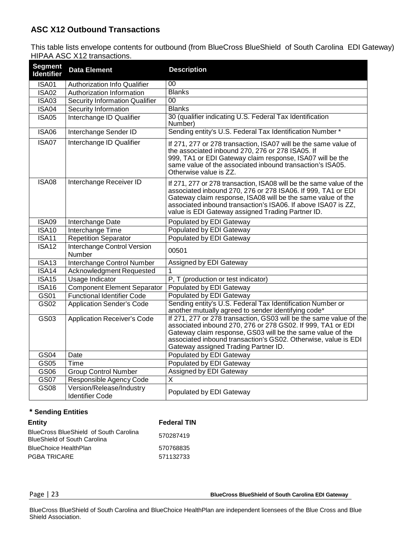### **ASC X12 Outbound Transactions**

This table lists envelope contents for outbound (from BlueCross BlueShield of South Carolina EDI Gateway) HIPAA ASC X12 transactions.

| <b>Segment</b><br><b>Identifier</b> | <b>Data Element</b>                                | <b>Description</b>                                                                                                                                                                                                                                                                                                       |
|-------------------------------------|----------------------------------------------------|--------------------------------------------------------------------------------------------------------------------------------------------------------------------------------------------------------------------------------------------------------------------------------------------------------------------------|
| <b>ISA01</b>                        | Authorization Info Qualifier                       | 00                                                                                                                                                                                                                                                                                                                       |
| <b>ISA02</b>                        | Authorization Information                          | <b>Blanks</b>                                                                                                                                                                                                                                                                                                            |
| <b>ISA03</b>                        | <b>Security Information Qualifier</b>              | 0 <sub>0</sub>                                                                                                                                                                                                                                                                                                           |
| <b>ISA04</b>                        | Security Information                               | <b>Blanks</b>                                                                                                                                                                                                                                                                                                            |
| <b>ISA05</b>                        | Interchange ID Qualifier                           | 30 (qualifier indicating U.S. Federal Tax Identification<br>Number)                                                                                                                                                                                                                                                      |
| <b>ISA06</b>                        | Interchange Sender ID                              | Sending entity's U.S. Federal Tax Identification Number*                                                                                                                                                                                                                                                                 |
| ISA07                               | Interchange ID Qualifier                           | If 271, 277 or 278 transaction, ISA07 will be the same value of<br>the associated inbound 270, 276 or 278 ISA05. If<br>999, TA1 or EDI Gateway claim response, ISA07 will be the<br>same value of the associated inbound transaction's ISA05.<br>Otherwise value is ZZ.                                                  |
| <b>ISA08</b>                        | Interchange Receiver ID                            | If 271, 277 or 278 transaction, ISA08 will be the same value of the<br>associated inbound 270, 276 or 278 ISA06. If 999, TA1 or EDI<br>Gateway claim response, ISA08 will be the same value of the<br>associated inbound transaction's ISA06. If above ISA07 is ZZ,<br>value is EDI Gateway assigned Trading Partner ID. |
| <b>ISA09</b>                        | Interchange Date                                   | Populated by EDI Gateway                                                                                                                                                                                                                                                                                                 |
| <b>ISA10</b>                        | Interchange Time                                   | Populated by EDI Gateway                                                                                                                                                                                                                                                                                                 |
| <b>ISA11</b>                        | <b>Repetition Separator</b>                        | Populated by EDI Gateway                                                                                                                                                                                                                                                                                                 |
| $\overline{\text{ISA}12}$           | <b>Interchange Control Version</b><br>Number       | 00501                                                                                                                                                                                                                                                                                                                    |
| <b>ISA13</b>                        | Interchange Control Number                         | Assigned by EDI Gateway                                                                                                                                                                                                                                                                                                  |
| <b>ISA14</b>                        | Acknowledgment Requested                           | 1                                                                                                                                                                                                                                                                                                                        |
| <b>ISA15</b>                        | <b>Usage Indicator</b>                             | P, T (production or test indicator)                                                                                                                                                                                                                                                                                      |
| <b>ISA16</b>                        | <b>Component Element Separator</b>                 | Populated by EDI Gateway                                                                                                                                                                                                                                                                                                 |
| GS01                                | <b>Functional Identifier Code</b>                  | Populated by EDI Gateway                                                                                                                                                                                                                                                                                                 |
| GS02                                | <b>Application Sender's Code</b>                   | Sending entity's U.S. Federal Tax Identification Number or<br>another mutually agreed to sender identifying code*                                                                                                                                                                                                        |
| GS03                                | <b>Application Receiver's Code</b>                 | If 271, 277 or 278 transaction, GS03 will be the same value of the<br>associated inbound 270, 276 or 278 GS02. If 999, TA1 or EDI<br>Gateway claim response, GS03 will be the same value of the<br>associated inbound transaction's GS02. Otherwise, value is EDI<br>Gateway assigned Trading Partner ID.                |
| GS04                                | Date                                               | Populated by EDI Gateway                                                                                                                                                                                                                                                                                                 |
| GS05                                | Time                                               | Populated by EDI Gateway                                                                                                                                                                                                                                                                                                 |
| GS06                                | <b>Group Control Number</b>                        | Assigned by EDI Gateway                                                                                                                                                                                                                                                                                                  |
| <b>GS07</b>                         | Responsible Agency Code                            | X                                                                                                                                                                                                                                                                                                                        |
| <b>GS08</b>                         | Version/Release/Industry<br><b>Identifier Code</b> | Populated by EDI Gateway                                                                                                                                                                                                                                                                                                 |

#### **\* Sending Entities**

| <b>Entity</b>                                                                 | <b>Federal TIN</b> |
|-------------------------------------------------------------------------------|--------------------|
| BlueCross BlueShield of South Carolina<br><b>BlueShield of South Carolina</b> | 570287419          |
| <b>BlueChoice HealthPlan</b>                                                  | 570768835          |
| <b>PGBA TRICARE</b>                                                           | 571132733          |

Page | 23 **BlueCross BlueShield of South Carolina EDI Gateway**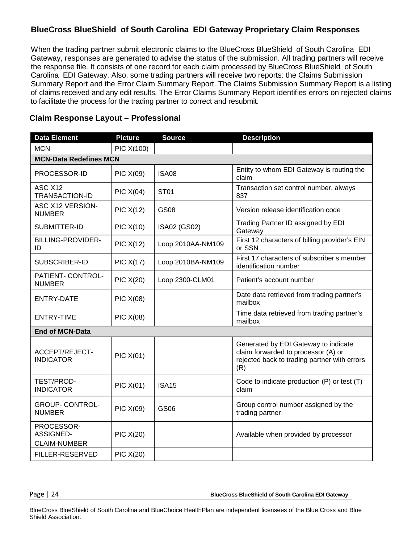### **BlueCross BlueShield of South Carolina EDI Gateway Proprietary Claim Responses**

When the trading partner submit electronic claims to the BlueCross BlueShield of South Carolina EDI Gateway, responses are generated to advise the status of the submission. All trading partners will receive the response file. It consists of one record for each claim processed by BlueCross BlueShield of South Carolina EDI Gateway. Also, some trading partners will receive two reports: the Claims Submission Summary Report and the Error Claim Summary Report. The Claims Submission Summary Report is a listing of claims received and any edit results. The Error Claims Summary Report identifies errors on rejected claims to facilitate the process for the trading partner to correct and resubmit.

| <b>Data Element</b>                                   | <b>Picture</b>   | <b>Source</b>     | <b>Description</b>                                                                                                                 |
|-------------------------------------------------------|------------------|-------------------|------------------------------------------------------------------------------------------------------------------------------------|
| <b>MCN</b>                                            | PIC X(100)       |                   |                                                                                                                                    |
| <b>MCN-Data Redefines MCN</b>                         |                  |                   |                                                                                                                                    |
| PROCESSOR-ID                                          | <b>PIC X(09)</b> | <b>ISA08</b>      | Entity to whom EDI Gateway is routing the<br>claim                                                                                 |
| ASC X12<br>TRANSACTION-ID                             | PIC X(04)        | <b>ST01</b>       | Transaction set control number, always<br>837                                                                                      |
| ASC X12 VERSION-<br><b>NUMBER</b>                     | <b>PIC X(12)</b> | <b>GS08</b>       | Version release identification code                                                                                                |
| SUBMITTER-ID                                          | <b>PIC X(10)</b> | ISA02 (GS02)      | Trading Partner ID assigned by EDI<br>Gateway                                                                                      |
| <b>BILLING-PROVIDER-</b><br>ID                        | PIC X(12)        | Loop 2010AA-NM109 | First 12 characters of billing provider's EIN<br>or SSN                                                                            |
| SUBSCRIBER-ID                                         | PIC X(17)        | Loop 2010BA-NM109 | First 17 characters of subscriber's member<br>identification number                                                                |
| PATIENT- CONTROL-<br><b>NUMBER</b>                    | <b>PIC X(20)</b> | Loop 2300-CLM01   | Patient's account number                                                                                                           |
| <b>ENTRY-DATE</b>                                     | PIC X(08)        |                   | Date data retrieved from trading partner's<br>mailbox                                                                              |
| <b>ENTRY-TIME</b>                                     | <b>PIC X(08)</b> |                   | Time data retrieved from trading partner's<br>mailbox                                                                              |
| <b>End of MCN-Data</b>                                |                  |                   |                                                                                                                                    |
| <b>ACCEPT/REJECT-</b><br><b>INDICATOR</b>             | <b>PIC X(01)</b> |                   | Generated by EDI Gateway to indicate<br>claim forwarded to processor (A) or<br>rejected back to trading partner with errors<br>(R) |
| TEST/PROD-<br><b>INDICATOR</b>                        | <b>PIC X(01)</b> | <b>ISA15</b>      | Code to indicate production (P) or test (T)<br>claim                                                                               |
| <b>GROUP- CONTROL-</b><br><b>NUMBER</b>               | <b>PIC X(09)</b> | GS06              | Group control number assigned by the<br>trading partner                                                                            |
| PROCESSOR-<br><b>ASSIGNED-</b><br><b>CLAIM-NUMBER</b> | <b>PIC X(20)</b> |                   | Available when provided by processor                                                                                               |
| FILLER-RESERVED                                       | <b>PIC X(20)</b> |                   |                                                                                                                                    |

#### **Claim Response Layout – Professional**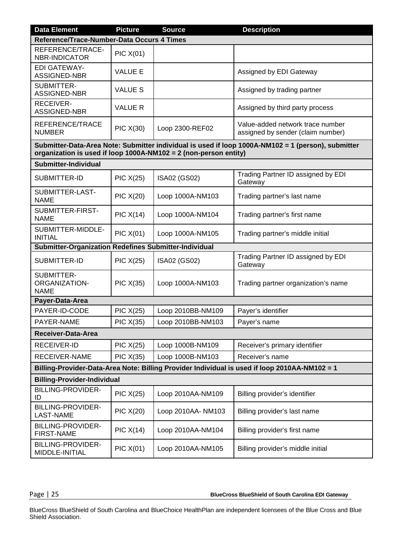| <b>Data Element</b>                                                                           | <b>Picture</b>   | <b>Source</b>                                                    | <b>Description</b>                                                                                 |  |
|-----------------------------------------------------------------------------------------------|------------------|------------------------------------------------------------------|----------------------------------------------------------------------------------------------------|--|
| Reference/Trace-Number-Data Occurs 4 Times                                                    |                  |                                                                  |                                                                                                    |  |
| REFERENCE/TRACE-<br><b>NBR-INDICATOR</b>                                                      | PIC X(01)        |                                                                  |                                                                                                    |  |
| <b>EDI GATEWAY-</b><br>ASSIGNED-NBR                                                           | <b>VALUE E</b>   |                                                                  | Assigned by EDI Gateway                                                                            |  |
| SUBMITTER-<br>ASSIGNED-NBR                                                                    | <b>VALUE S</b>   |                                                                  | Assigned by trading partner                                                                        |  |
| <b>RECEIVER-</b><br>ASSIGNED-NBR                                                              | <b>VALUE R</b>   |                                                                  | Assigned by third party process                                                                    |  |
| REFERENCE/TRACE<br><b>NUMBER</b>                                                              | PIC X(30)        | Loop 2300-REF02                                                  | Value-added network trace number<br>assigned by sender (claim number)                              |  |
|                                                                                               |                  | organization is used if loop 1000A-NM102 = 2 (non-person entity) | Submitter-Data-Area Note: Submitter individual is used if loop 1000A-NM102 = 1 (person), submitter |  |
| Submitter-Individual                                                                          |                  |                                                                  |                                                                                                    |  |
| SUBMITTER-ID                                                                                  | <b>PIC X(25)</b> | ISA02 (GS02)                                                     | Trading Partner ID assigned by EDI<br>Gateway                                                      |  |
| SUBMITTER-LAST-<br><b>NAME</b>                                                                | <b>PIC X(20)</b> | Loop 1000A-NM103                                                 | Trading partner's last name                                                                        |  |
| SUBMITTER-FIRST-<br><b>NAME</b>                                                               | PIC X(14)        | Loop 1000A-NM104                                                 | Trading partner's first name                                                                       |  |
| SUBMITTER-MIDDLE-<br><b>INITIAL</b>                                                           | PIC X(01)        | Loop 1000A-NM105                                                 | Trading partner's middle initial                                                                   |  |
| <b>Submitter-Organization Redefines Submitter-Individual</b>                                  |                  |                                                                  |                                                                                                    |  |
| SUBMITTER-ID                                                                                  | <b>PIC X(25)</b> | ISA02 (GS02)                                                     | Trading Partner ID assigned by EDI<br>Gateway                                                      |  |
| SUBMITTER-<br><b>ORGANIZATION-</b><br><b>NAME</b>                                             | PIC X(35)        | Loop 1000A-NM103                                                 | Trading partner organization's name                                                                |  |
| Payer-Data-Area                                                                               |                  |                                                                  |                                                                                                    |  |
| PAYER-ID-CODE                                                                                 | <b>PIC X(25)</b> | Loop 2010BB-NM109                                                | Payer's identifier                                                                                 |  |
| PAYER-NAME                                                                                    | <b>PIC X(35)</b> | Loop 2010BB-NM103                                                | Payer's name                                                                                       |  |
| Receiver-Data-Area                                                                            |                  |                                                                  |                                                                                                    |  |
| RECEIVER-ID                                                                                   | <b>PIC X(25)</b> | Loop 1000B-NM109                                                 | Receiver's primary identifier                                                                      |  |
| RECEIVER-NAME                                                                                 | <b>PIC X(35)</b> | Loop 1000B-NM103                                                 | Receiver's name                                                                                    |  |
| Billing-Provider-Data-Area Note: Billing Provider Individual is used if loop 2010AA-NM102 = 1 |                  |                                                                  |                                                                                                    |  |
| <b>Billing-Provider-Individual</b>                                                            |                  |                                                                  |                                                                                                    |  |
| <b>BILLING-PROVIDER-</b><br>ID                                                                | PIC X(25)        | Loop 2010AA-NM109                                                | Billing provider's identifier                                                                      |  |
| <b>BILLING-PROVIDER-</b><br><b>LAST-NAME</b>                                                  | <b>PIC X(20)</b> | Loop 2010AA- NM103                                               | Billing provider's last name                                                                       |  |
| <b>BILLING-PROVIDER-</b><br><b>FIRST-NAME</b>                                                 | PIC X(14)        | Loop 2010AA-NM104                                                | Billing provider's first name                                                                      |  |
| <b>BILLING-PROVIDER-</b><br>MIDDLE-INITIAL                                                    | PIC X(01)        | Loop 2010AA-NM105                                                | Billing provider's middle initial                                                                  |  |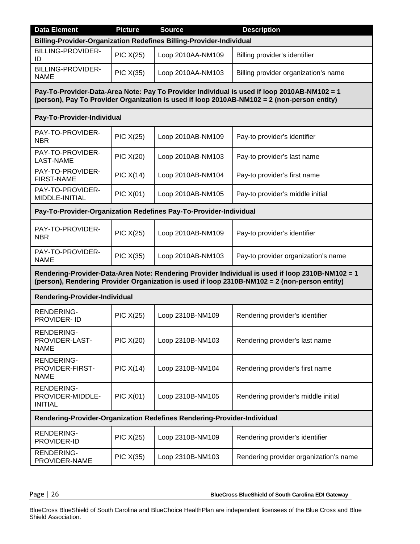| <b>Data Element</b>                                 | <b>Picture</b>                                                          | <b>Source</b>                                                       | <b>Description</b>                                                                                                                                                                                |  |  |
|-----------------------------------------------------|-------------------------------------------------------------------------|---------------------------------------------------------------------|---------------------------------------------------------------------------------------------------------------------------------------------------------------------------------------------------|--|--|
|                                                     |                                                                         | Billing-Provider-Organization Redefines Billing-Provider-Individual |                                                                                                                                                                                                   |  |  |
| <b>BILLING-PROVIDER-</b><br>ID                      | <b>PIC X(25)</b>                                                        | Loop 2010AA-NM109                                                   | Billing provider's identifier                                                                                                                                                                     |  |  |
| <b>BILLING-PROVIDER-</b><br><b>NAME</b>             | <b>PIC X(35)</b>                                                        | Loop 2010AA-NM103                                                   | Billing provider organization's name                                                                                                                                                              |  |  |
|                                                     |                                                                         |                                                                     | Pay-To-Provider-Data-Area Note: Pay To Provider Individual is used if loop 2010AB-NM102 = 1<br>(person), Pay To Provider Organization is used if loop 2010AB-NM102 = 2 (non-person entity)        |  |  |
| Pay-To-Provider-Individual                          |                                                                         |                                                                     |                                                                                                                                                                                                   |  |  |
| PAY-TO-PROVIDER-<br><b>NBR</b>                      | <b>PIC X(25)</b>                                                        | Loop 2010AB-NM109                                                   | Pay-to provider's identifier                                                                                                                                                                      |  |  |
| PAY-TO-PROVIDER-<br><b>LAST-NAME</b>                | <b>PIC X(20)</b>                                                        | Loop 2010AB-NM103                                                   | Pay-to provider's last name                                                                                                                                                                       |  |  |
| PAY-TO-PROVIDER-<br><b>FIRST-NAME</b>               | PIC X(14)                                                               | Loop 2010AB-NM104                                                   | Pay-to provider's first name                                                                                                                                                                      |  |  |
| PAY-TO-PROVIDER-<br>MIDDLE-INITIAL                  | PIC X(01)                                                               | Loop 2010AB-NM105                                                   | Pay-to provider's middle initial                                                                                                                                                                  |  |  |
|                                                     | Pay-To-Provider-Organization Redefines Pay-To-Provider-Individual       |                                                                     |                                                                                                                                                                                                   |  |  |
| PAY-TO-PROVIDER-<br><b>NBR</b>                      | <b>PIC X(25)</b>                                                        | Loop 2010AB-NM109                                                   | Pay-to provider's identifier                                                                                                                                                                      |  |  |
| PAY-TO-PROVIDER-<br><b>NAME</b>                     | <b>PIC X(35)</b>                                                        | Loop 2010AB-NM103                                                   | Pay-to provider organization's name                                                                                                                                                               |  |  |
|                                                     |                                                                         |                                                                     | Rendering-Provider-Data-Area Note: Rendering Provider Individual is used if loop 2310B-NM102 = 1<br>(person), Rendering Provider Organization is used if loop 2310B-NM102 = 2 (non-person entity) |  |  |
| <b>Rendering-Provider-Individual</b>                |                                                                         |                                                                     |                                                                                                                                                                                                   |  |  |
| <b>RENDERING-</b><br>PROVIDER- ID                   | PIC X(25)                                                               | Loop 2310B-NM109                                                    | Rendering provider's identifier                                                                                                                                                                   |  |  |
| RENDERING-<br>PROVIDER-LAST-<br><b>NAME</b>         | <b>PIC X(20)</b>                                                        | Loop 2310B-NM103                                                    | Rendering provider's last name                                                                                                                                                                    |  |  |
| <b>RENDERING-</b><br>PROVIDER-FIRST-<br><b>NAME</b> | PIC X(14)                                                               | Loop 2310B-NM104                                                    | Rendering provider's first name                                                                                                                                                                   |  |  |
| RENDERING-<br>PROVIDER-MIDDLE-<br><b>INITIAL</b>    | <b>PIC X(01)</b>                                                        | Loop 2310B-NM105                                                    | Rendering provider's middle initial                                                                                                                                                               |  |  |
|                                                     | Rendering-Provider-Organization Redefines Rendering-Provider-Individual |                                                                     |                                                                                                                                                                                                   |  |  |
| <b>RENDERING-</b><br>PROVIDER-ID                    | <b>PIC X(25)</b>                                                        | Loop 2310B-NM109                                                    | Rendering provider's identifier                                                                                                                                                                   |  |  |
| RENDERING-<br>PROVIDER-NAME                         | PIC X(35)                                                               | Loop 2310B-NM103                                                    | Rendering provider organization's name                                                                                                                                                            |  |  |

Page | 26 **BlueCross BlueShield of South Carolina EDI Gateway**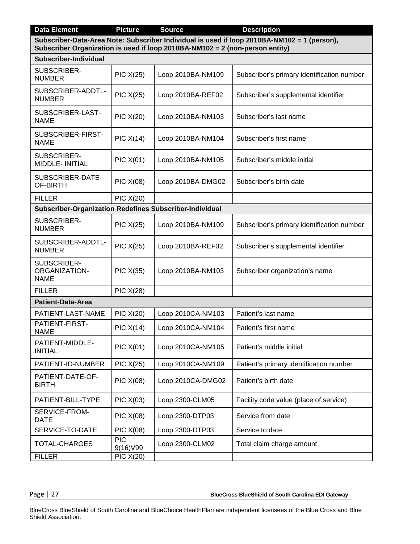| <b>Data Element</b>                                     | <b>Picture</b>                                                                                                                                                              | <b>Source</b>     | <b>Description</b>                         |  |  |
|---------------------------------------------------------|-----------------------------------------------------------------------------------------------------------------------------------------------------------------------------|-------------------|--------------------------------------------|--|--|
|                                                         | Subscriber-Data-Area Note: Subscriber Individual is used if loop 2010BA-NM102 = 1 (person),<br>Subscriber Organization is used if loop 2010BA-NM102 = 2 (non-person entity) |                   |                                            |  |  |
| Subscriber-Individual                                   |                                                                                                                                                                             |                   |                                            |  |  |
| SUBSCRIBER-<br><b>NUMBER</b>                            | <b>PIC X(25)</b>                                                                                                                                                            | Loop 2010BA-NM109 | Subscriber's primary identification number |  |  |
| SUBSCRIBER-ADDTL-<br><b>NUMBER</b>                      | <b>PIC X(25)</b>                                                                                                                                                            | Loop 2010BA-REF02 | Subscriber's supplemental identifier       |  |  |
| SUBSCRIBER-LAST-<br><b>NAME</b>                         | <b>PIC X(20)</b>                                                                                                                                                            | Loop 2010BA-NM103 | Subscriber's last name                     |  |  |
| SUBSCRIBER-FIRST-<br><b>NAME</b>                        | PIC X(14)                                                                                                                                                                   | Loop 2010BA-NM104 | Subscriber's first name                    |  |  |
| SUBSCRIBER-<br>MIDDLE- INITIAL                          | PIC X(01)                                                                                                                                                                   | Loop 2010BA-NM105 | Subscriber's middle initial                |  |  |
| SUBSCRIBER-DATE-<br>OF-BIRTH                            | <b>PIC X(08)</b>                                                                                                                                                            | Loop 2010BA-DMG02 | Subscriber's birth date                    |  |  |
| <b>FILLER</b>                                           | <b>PIC X(20)</b>                                                                                                                                                            |                   |                                            |  |  |
| Subscriber-Organization Redefines Subscriber-Individual |                                                                                                                                                                             |                   |                                            |  |  |
| SUBSCRIBER-<br><b>NUMBER</b>                            | <b>PIC X(25)</b>                                                                                                                                                            | Loop 2010BA-NM109 | Subscriber's primary identification number |  |  |
| SUBSCRIBER-ADDTL-<br><b>NUMBER</b>                      | <b>PIC X(25)</b>                                                                                                                                                            | Loop 2010BA-REF02 | Subscriber's supplemental identifier       |  |  |
| SUBSCRIBER-<br><b>ORGANIZATION-</b><br><b>NAME</b>      | PIC X(35)                                                                                                                                                                   | Loop 2010BA-NM103 | Subscriber organization's name             |  |  |
| <b>FILLER</b>                                           | <b>PIC X(28)</b>                                                                                                                                                            |                   |                                            |  |  |
| <b>Patient-Data-Area</b>                                |                                                                                                                                                                             |                   |                                            |  |  |
| PATIENT-LAST-NAME                                       | <b>PIC X(20)</b>                                                                                                                                                            | Loop 2010CA-NM103 | Patient's last name                        |  |  |
| PATIENT-FIRST-<br>NAME                                  | PIC X(14)                                                                                                                                                                   | Loop 2010CA-NM104 | Patient's first name                       |  |  |
| PATIENT-MIDDLE-<br><b>INITIAL</b>                       | PIC X(01)                                                                                                                                                                   | Loop 2010CA-NM105 | Patient's middle initial                   |  |  |
| PATIENT-ID-NUMBER                                       | <b>PIC X(25)</b>                                                                                                                                                            | Loop 2010CA-NM109 | Patient's primary identification number    |  |  |
| PATIENT-DATE-OF-<br><b>BIRTH</b>                        | <b>PIC X(08)</b>                                                                                                                                                            | Loop 2010CA-DMG02 | Patient's birth date                       |  |  |
| PATIENT-BILL-TYPE                                       | PIC X(03)                                                                                                                                                                   | Loop 2300-CLM05   | Facility code value (place of service)     |  |  |
| SERVICE-FROM-<br>DATE                                   | <b>PIC X(08)</b>                                                                                                                                                            | Loop 2300-DTP03   | Service from date                          |  |  |
| SERVICE-TO-DATE                                         | <b>PIC X(08)</b>                                                                                                                                                            | Loop 2300-DTP03   | Service to date                            |  |  |
| TOTAL-CHARGES                                           | <b>PIC</b><br>9(16) V99                                                                                                                                                     | Loop 2300-CLM02   | Total claim charge amount                  |  |  |
| <b>FILLER</b>                                           | <b>PIC X(20)</b>                                                                                                                                                            |                   |                                            |  |  |

Page | 27 **BlueCross BlueShield of South Carolina EDI Gateway**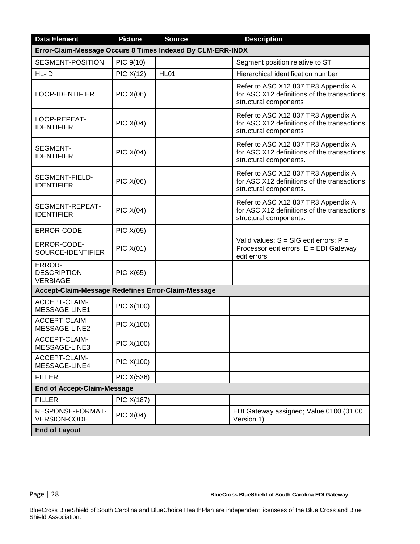| <b>Data Element</b>                                        | <b>Picture</b>   | <b>Source</b> | <b>Description</b>                                                                                           |
|------------------------------------------------------------|------------------|---------------|--------------------------------------------------------------------------------------------------------------|
| Error-Claim-Message Occurs 8 Times Indexed By CLM-ERR-INDX |                  |               |                                                                                                              |
| SEGMENT-POSITION                                           | PIC 9(10)        |               | Segment position relative to ST                                                                              |
| HL-ID                                                      | <b>PIC X(12)</b> | <b>HL01</b>   | Hierarchical identification number                                                                           |
| LOOP-IDENTIFIER                                            | <b>PIC X(06)</b> |               | Refer to ASC X12 837 TR3 Appendix A<br>for ASC X12 definitions of the transactions<br>structural components  |
| LOOP-REPEAT-<br><b>IDENTIFIER</b>                          | <b>PIC X(04)</b> |               | Refer to ASC X12 837 TR3 Appendix A<br>for ASC X12 definitions of the transactions<br>structural components  |
| <b>SEGMENT-</b><br><b>IDENTIFIER</b>                       | <b>PIC X(04)</b> |               | Refer to ASC X12 837 TR3 Appendix A<br>for ASC X12 definitions of the transactions<br>structural components. |
| SEGMENT-FIELD-<br><b>IDENTIFIER</b>                        | <b>PIC X(06)</b> |               | Refer to ASC X12 837 TR3 Appendix A<br>for ASC X12 definitions of the transactions<br>structural components. |
| SEGMENT-REPEAT-<br><b>IDENTIFIER</b>                       | <b>PIC X(04)</b> |               | Refer to ASC X12 837 TR3 Appendix A<br>for ASC X12 definitions of the transactions<br>structural components. |
| ERROR-CODE                                                 | <b>PIC X(05)</b> |               |                                                                                                              |
| ERROR-CODE-<br>SOURCE-IDENTIFIER                           | <b>PIC X(01)</b> |               | Valid values: $S = SIG$ edit errors; $P =$<br>Processor edit errors; E = EDI Gateway<br>edit errors          |
| ERROR-<br><b>DESCRIPTION-</b><br><b>VERBIAGE</b>           | <b>PIC X(65)</b> |               |                                                                                                              |
| Accept-Claim-Message Redefines Error-Claim-Message         |                  |               |                                                                                                              |
| ACCEPT-CLAIM-<br>MESSAGE-LINE1                             | PIC X(100)       |               |                                                                                                              |
| ACCEPT-CLAIM-<br>MESSAGE-LINE2                             | PIC X(100)       |               |                                                                                                              |
| <b>ACCEPT-CLAIM-</b><br>MESSAGE-LINE3                      | PIC X(100)       |               |                                                                                                              |
| ACCEPT-CLAIM-<br>MESSAGE-LINE4                             | PIC X(100)       |               |                                                                                                              |
| <b>FILLER</b>                                              | PIC X(536)       |               |                                                                                                              |
| <b>End of Accept-Claim-Message</b>                         |                  |               |                                                                                                              |
| <b>FILLER</b>                                              | PIC X(187)       |               |                                                                                                              |
| RESPONSE-FORMAT-<br><b>VERSION-CODE</b>                    | PIC X(04)        |               | EDI Gateway assigned; Value 0100 (01.00<br>Version 1)                                                        |
| <b>End of Layout</b>                                       |                  |               |                                                                                                              |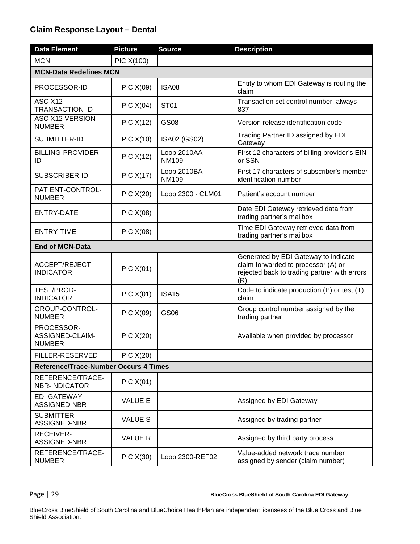#### **Claim Response Layout – Dental**

| <b>Data Element</b>                            | <b>Picture</b>           | <b>Source</b>                 | <b>Description</b>                                                                                                                 |  |  |
|------------------------------------------------|--------------------------|-------------------------------|------------------------------------------------------------------------------------------------------------------------------------|--|--|
| <b>MCN</b>                                     | PIC X(100)               |                               |                                                                                                                                    |  |  |
| <b>MCN-Data Redefines MCN</b>                  |                          |                               |                                                                                                                                    |  |  |
| PROCESSOR-ID                                   | <b>PIC X(09)</b>         | <b>ISA08</b>                  | Entity to whom EDI Gateway is routing the<br>claim                                                                                 |  |  |
| ASC X12<br>TRANSACTION-ID                      | PIC X(04)                | <b>ST01</b>                   | Transaction set control number, always<br>837                                                                                      |  |  |
| <b>ASC X12 VERSION-</b><br><b>NUMBER</b>       | PIC X(12)                | <b>GS08</b>                   | Version release identification code                                                                                                |  |  |
| SUBMITTER-ID                                   | <b>PIC X(10)</b>         | ISA02 (GS02)                  | Trading Partner ID assigned by EDI<br>Gateway                                                                                      |  |  |
| BILLING-PROVIDER-<br>ID                        | PIC X(12)                | Loop 2010AA -<br><b>NM109</b> | First 12 characters of billing provider's EIN<br>or SSN                                                                            |  |  |
| SUBSCRIBER-ID                                  | <b>PIC X(17)</b>         | Loop 2010BA -<br><b>NM109</b> | First 17 characters of subscriber's member<br>identification number                                                                |  |  |
| PATIENT-CONTROL-<br><b>NUMBER</b>              | <b>PIC X(20)</b>         | Loop 2300 - CLM01             | Patient's account number                                                                                                           |  |  |
| <b>ENTRY-DATE</b>                              | <b>PIC X(08)</b>         |                               | Date EDI Gateway retrieved data from<br>trading partner's mailbox                                                                  |  |  |
| <b>ENTRY-TIME</b>                              | <b>PIC X(08)</b>         |                               | Time EDI Gateway retrieved data from<br>trading partner's mailbox                                                                  |  |  |
| <b>End of MCN-Data</b>                         |                          |                               |                                                                                                                                    |  |  |
| <b>ACCEPT/REJECT-</b><br><b>INDICATOR</b>      | <b>PIC X(01)</b>         |                               | Generated by EDI Gateway to indicate<br>claim forwarded to processor (A) or<br>rejected back to trading partner with errors<br>(R) |  |  |
| TEST/PROD-<br><b>INDICATOR</b>                 | <b>PIC X(01)</b>         | <b>ISA15</b>                  | Code to indicate production (P) or test (T)<br>claim                                                                               |  |  |
| GROUP-CONTROL-<br><b>NUMBER</b>                | <b>PIC X(09)</b>         | GS06                          | Group control number assigned by the<br>trading partner                                                                            |  |  |
| PROCESSOR-<br>ASSIGNED-CLAIM-<br><b>NUMBER</b> | <b>PIC X(20)</b>         |                               | Available when provided by processor                                                                                               |  |  |
| <b>FILLER-RESERVED</b>                         | <b>PIC X(20)</b>         |                               |                                                                                                                                    |  |  |
| <b>Reference/Trace-Number Occurs 4 Times</b>   |                          |                               |                                                                                                                                    |  |  |
| REFERENCE/TRACE-<br><b>NBR-INDICATOR</b>       | <b>PIC X(01)</b>         |                               |                                                                                                                                    |  |  |
| <b>EDI GATEWAY-</b><br>ASSIGNED-NBR            | <b>VALUE E</b>           |                               | Assigned by EDI Gateway                                                                                                            |  |  |
| SUBMITTER-<br>ASSIGNED-NBR                     | <b>VALUE S</b>           |                               | Assigned by trading partner                                                                                                        |  |  |
| <b>RECEIVER-</b><br>ASSIGNED-NBR               | <b>VALUE R</b>           |                               | Assigned by third party process                                                                                                    |  |  |
| REFERENCE/TRACE-<br><b>NUMBER</b>              | $\overline{PIC}$ $X(30)$ | Loop 2300-REF02               | Value-added network trace number<br>assigned by sender (claim number)                                                              |  |  |

Page | 29 **BlueCross BlueShield of South Carolina EDI Gateway**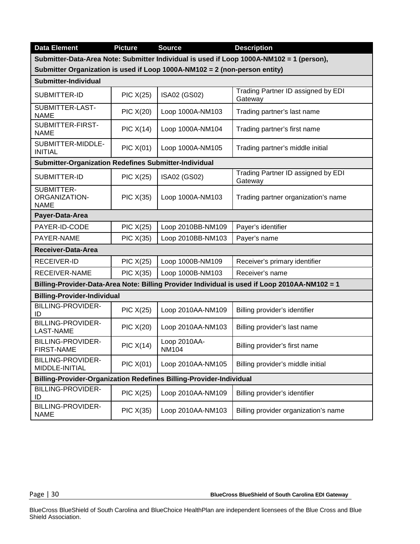| <b>Data Element</b>                                                        | <b>Picture</b>           | <b>Source</b>                | <b>Description</b>                                                                            |  |
|----------------------------------------------------------------------------|--------------------------|------------------------------|-----------------------------------------------------------------------------------------------|--|
|                                                                            |                          |                              | Submitter-Data-Area Note: Submitter Individual is used if Loop 1000A-NM102 = 1 (person),      |  |
| Submitter Organization is used if Loop 1000A-NM102 = 2 (non-person entity) |                          |                              |                                                                                               |  |
| Submitter-Individual                                                       |                          |                              |                                                                                               |  |
| SUBMITTER-ID                                                               | <b>PIC X(25)</b>         | ISA02 (GS02)                 | Trading Partner ID assigned by EDI<br>Gateway                                                 |  |
| SUBMITTER-LAST-<br><b>NAME</b>                                             | <b>PIC X(20)</b>         | Loop 1000A-NM103             | Trading partner's last name                                                                   |  |
| SUBMITTER-FIRST-<br><b>NAME</b>                                            | PIC X(14)                | Loop 1000A-NM104             | Trading partner's first name                                                                  |  |
| SUBMITTER-MIDDLE-<br><b>INITIAL</b>                                        | PIC X(01)                | Loop 1000A-NM105             | Trading partner's middle initial                                                              |  |
| Submitter-Organization Redefines Submitter-Individual                      |                          |                              |                                                                                               |  |
| SUBMITTER-ID                                                               | <b>PIC X(25)</b>         | ISA02 (GS02)                 | Trading Partner ID assigned by EDI<br>Gateway                                                 |  |
| SUBMITTER-<br>ORGANIZATION-<br><b>NAME</b>                                 | <b>PIC X(35)</b>         | Loop 1000A-NM103             | Trading partner organization's name                                                           |  |
| Payer-Data-Area                                                            |                          |                              |                                                                                               |  |
| PAYER-ID-CODE                                                              | <b>PIC X(25)</b>         | Loop 2010BB-NM109            | Payer's identifier                                                                            |  |
| PAYER-NAME                                                                 | PIC X(35)                | Loop 2010BB-NM103            | Payer's name                                                                                  |  |
| Receiver-Data-Area                                                         |                          |                              |                                                                                               |  |
| RECEIVER-ID                                                                | <b>PIC X(25)</b>         | Loop 1000B-NM109             | Receiver's primary identifier                                                                 |  |
| <b>RECEIVER-NAME</b>                                                       | <b>PIC X(35)</b>         | Loop 1000B-NM103             | Receiver's name                                                                               |  |
|                                                                            |                          |                              | Billing-Provider-Data-Area Note: Billing Provider Individual is used if Loop 2010AA-NM102 = 1 |  |
| <b>Billing-Provider-Individual</b>                                         |                          |                              |                                                                                               |  |
| <b>BILLING-PROVIDER-</b><br>ID                                             | <b>PIC X(25)</b>         | Loop 2010AA-NM109            | Billing provider's identifier                                                                 |  |
| <b>BILLING-PROVIDER-</b><br><b>LAST-NAME</b>                               | <b>PIC X(20)</b>         | Loop 2010AA-NM103            | Billing provider's last name                                                                  |  |
| <b>BILLING-PROVIDER-</b><br><b>FIRST-NAME</b>                              | PIC X(14)                | Loop 2010AA-<br><b>NM104</b> | Billing provider's first name                                                                 |  |
| BILLING-PROVIDER-<br>MIDDLE-INITIAL                                        | <b>PIC X(01)</b>         | Loop 2010AA-NM105            | Billing provider's middle initial                                                             |  |
| Billing-Provider-Organization Redefines Billing-Provider-Individual        |                          |                              |                                                                                               |  |
| <b>BILLING-PROVIDER-</b><br>ID                                             | <b>PIC X(25)</b>         | Loop 2010AA-NM109            | Billing provider's identifier                                                                 |  |
| BILLING-PROVIDER-<br><b>NAME</b>                                           | $\overline{PIC}$ $X(35)$ | Loop 2010AA-NM103            | Billing provider organization's name                                                          |  |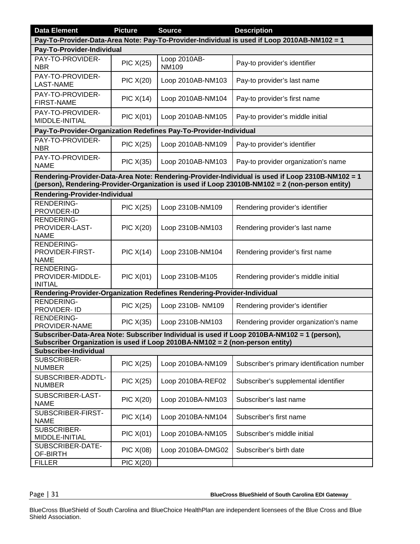| <b>Data Element</b>                                                          | <b>Picture</b>                                                                              | <b>Source</b>                | <b>Description</b>                                                                                                                                                                                 |  |  |
|------------------------------------------------------------------------------|---------------------------------------------------------------------------------------------|------------------------------|----------------------------------------------------------------------------------------------------------------------------------------------------------------------------------------------------|--|--|
|                                                                              | Pay-To-Provider-Data-Area Note: Pay-To-Provider-Individual is used if Loop 2010AB-NM102 = 1 |                              |                                                                                                                                                                                                    |  |  |
| Pay-To-Provider-Individual                                                   |                                                                                             |                              |                                                                                                                                                                                                    |  |  |
| PAY-TO-PROVIDER-<br><b>NBR</b>                                               | <b>PIC X(25)</b>                                                                            | Loop 2010AB-<br><b>NM109</b> | Pay-to provider's identifier                                                                                                                                                                       |  |  |
| PAY-TO-PROVIDER-<br><b>LAST-NAME</b>                                         | <b>PIC X(20)</b>                                                                            | Loop 2010AB-NM103            | Pay-to provider's last name                                                                                                                                                                        |  |  |
| PAY-TO-PROVIDER-<br><b>FIRST-NAME</b>                                        | PIC X(14)                                                                                   | Loop 2010AB-NM104            | Pay-to provider's first name                                                                                                                                                                       |  |  |
| PAY-TO-PROVIDER-<br>MIDDLE-INITIAL                                           | PIC X(01)                                                                                   | Loop 2010AB-NM105            | Pay-to provider's middle initial                                                                                                                                                                   |  |  |
| Pay-To-Provider-Organization Redefines Pay-To-Provider-Individual            |                                                                                             |                              |                                                                                                                                                                                                    |  |  |
| PAY-TO-PROVIDER-<br><b>NBR</b>                                               | <b>PIC X(25)</b>                                                                            | Loop 2010AB-NM109            | Pay-to provider's identifier                                                                                                                                                                       |  |  |
| PAY-TO-PROVIDER-<br><b>NAME</b>                                              | <b>PIC X(35)</b>                                                                            | Loop 2010AB-NM103            | Pay-to provider organization's name                                                                                                                                                                |  |  |
|                                                                              |                                                                                             |                              | Rendering-Provider-Data-Area Note: Rendering-Provider-Individual is used if Loop 2310B-NM102 = 1<br>(person), Rendering-Provider-Organization is used if Loop 23010B-NM102 = 2 (non-person entity) |  |  |
| <b>Rendering-Provider-Individual</b>                                         |                                                                                             |                              |                                                                                                                                                                                                    |  |  |
| <b>RENDERING-</b><br>PROVIDER-ID                                             | PIC X(25)                                                                                   | Loop 2310B-NM109             | Rendering provider's identifier                                                                                                                                                                    |  |  |
| <b>RENDERING-</b><br>PROVIDER-LAST-<br><b>NAME</b>                           | <b>PIC X(20)</b>                                                                            | Loop 2310B-NM103             | Rendering provider's last name                                                                                                                                                                     |  |  |
| <b>RENDERING-</b><br>PROVIDER-FIRST-<br><b>NAME</b>                          | PIC X(14)                                                                                   | Loop 2310B-NM104             | Rendering provider's first name                                                                                                                                                                    |  |  |
| RENDERING-<br>PROVIDER-MIDDLE-<br><b>INITIAL</b>                             | <b>PIC X(01)</b>                                                                            | Loop 2310B-M105              | Rendering provider's middle initial                                                                                                                                                                |  |  |
| Rendering-Provider-Organization Redefines Rendering-Provider-Individual      |                                                                                             |                              |                                                                                                                                                                                                    |  |  |
| <b>RENDERING-</b><br>PROVIDER- ID                                            | PIC X(25)                                                                                   | Loop 2310B- NM109            | Rendering provider's identifier                                                                                                                                                                    |  |  |
| <b>RENDERING-</b><br>PROVIDER-NAME                                           | PIC X(35)                                                                                   | Loop 2310B-NM103             | Rendering provider organization's name                                                                                                                                                             |  |  |
| Subscriber Organization is used if Loop 2010BA-NM102 = 2 (non-person entity) |                                                                                             |                              | Subscriber-Data-Area Note: Subscriber Individual is used if Loop 2010BA-NM102 = 1 (person),                                                                                                        |  |  |
| <b>Subscriber-Individual</b>                                                 |                                                                                             |                              |                                                                                                                                                                                                    |  |  |
| SUBSCRIBER-<br><b>NUMBER</b>                                                 | $\overline{PIC}$ $X(25)$                                                                    | Loop 2010BA-NM109            | Subscriber's primary identification number                                                                                                                                                         |  |  |
| SUBSCRIBER-ADDTL-<br><b>NUMBER</b>                                           | <b>PIC X(25)</b>                                                                            | Loop 2010BA-REF02            | Subscriber's supplemental identifier                                                                                                                                                               |  |  |
| SUBSCRIBER-LAST-<br><b>NAME</b>                                              | $\overline{PIC}$ $X(20)$                                                                    | Loop 2010BA-NM103            | Subscriber's last name                                                                                                                                                                             |  |  |
| SUBSCRIBER-FIRST-<br><b>NAME</b>                                             | PIC X(14)                                                                                   | Loop 2010BA-NM104            | Subscriber's first name                                                                                                                                                                            |  |  |
| SUBSCRIBER-<br>MIDDLE-INITIAL                                                | <b>PIC X(01)</b>                                                                            | Loop 2010BA-NM105            | Subscriber's middle initial                                                                                                                                                                        |  |  |
| SUBSCRIBER-DATE-<br>OF-BIRTH                                                 | PIC X(08)                                                                                   | Loop 2010BA-DMG02            | Subscriber's birth date                                                                                                                                                                            |  |  |
| <b>FILLER</b>                                                                | <b>PIC X(20)</b>                                                                            |                              |                                                                                                                                                                                                    |  |  |

Page | 31 **BlueCross BlueShield of South Carolina EDI Gateway**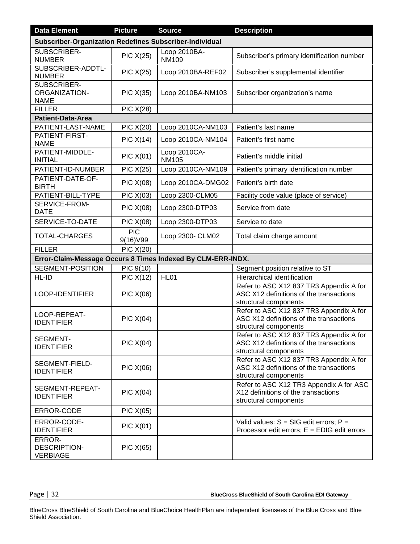| <b>Data Element</b>                                            | <b>Picture</b>          | <b>Source</b>                | <b>Description</b>                                                                                          |  |  |
|----------------------------------------------------------------|-------------------------|------------------------------|-------------------------------------------------------------------------------------------------------------|--|--|
| <b>Subscriber-Organization Redefines Subscriber-Individual</b> |                         |                              |                                                                                                             |  |  |
| SUBSCRIBER-<br><b>NUMBER</b>                                   | <b>PIC X(25)</b>        | Loop 2010BA-<br><b>NM109</b> | Subscriber's primary identification number                                                                  |  |  |
| SUBSCRIBER-ADDTL-<br><b>NUMBER</b>                             | <b>PIC X(25)</b>        | Loop 2010BA-REF02            | Subscriber's supplemental identifier                                                                        |  |  |
| SUBSCRIBER-<br>ORGANIZATION-<br><b>NAME</b>                    | <b>PIC X(35)</b>        | Loop 2010BA-NM103            | Subscriber organization's name                                                                              |  |  |
| <b>FILLER</b>                                                  | <b>PIC X(28)</b>        |                              |                                                                                                             |  |  |
| <b>Patient-Data-Area</b>                                       |                         |                              |                                                                                                             |  |  |
| PATIENT-LAST-NAME                                              | <b>PIC X(20)</b>        | Loop 2010CA-NM103            | Patient's last name                                                                                         |  |  |
| PATIENT-FIRST-<br><b>NAME</b>                                  | PIC X(14)               | Loop 2010CA-NM104            | Patient's first name                                                                                        |  |  |
| PATIENT-MIDDLE-<br><b>INITIAL</b>                              | <b>PIC X(01)</b>        | Loop 2010CA-<br><b>NM105</b> | Patient's middle initial                                                                                    |  |  |
| PATIENT-ID-NUMBER                                              | <b>PIC X(25)</b>        | Loop 2010CA-NM109            | Patient's primary identification number                                                                     |  |  |
| PATIENT-DATE-OF-<br><b>BIRTH</b>                               | <b>PIC X(08)</b>        | Loop 2010CA-DMG02            | Patient's birth date                                                                                        |  |  |
| PATIENT-BILL-TYPE                                              | $\overline{P}$ IC X(03) | Loop 2300-CLM05              | Facility code value (place of service)                                                                      |  |  |
| SERVICE-FROM-<br><b>DATE</b>                                   | PIC X(08)               | Loop 2300-DTP03              | Service from date                                                                                           |  |  |
| SERVICE-TO-DATE                                                | <b>PIC X(08)</b>        | Loop 2300-DTP03              | Service to date                                                                                             |  |  |
| <b>TOTAL-CHARGES</b>                                           | <b>PIC</b><br>9(16) V99 | Loop 2300- CLM02             | Total claim charge amount                                                                                   |  |  |
| <b>FILLER</b>                                                  | <b>PIC X(20)</b>        |                              |                                                                                                             |  |  |
| Error-Claim-Message Occurs 8 Times Indexed By CLM-ERR-INDX.    |                         |                              |                                                                                                             |  |  |
| SEGMENT-POSITION                                               | PIC 9(10)               |                              | Segment position relative to ST                                                                             |  |  |
| HL-ID                                                          | PIC X(12)               | HL01                         | Hierarchical identification                                                                                 |  |  |
| <b>LOOP-IDENTIFIER</b>                                         | <b>PIC X(06)</b>        |                              | Refer to ASC X12 837 TR3 Appendix A for<br>ASC X12 definitions of the transactions<br>structural components |  |  |
| LOOP-REPEAT-<br><b>IDENTIFIER</b>                              | PIC $X(04)$             |                              | Refer to ASC X12 837 TR3 Appendix A for<br>ASC X12 definitions of the transactions<br>structural components |  |  |
| <b>SEGMENT-</b><br><b>IDENTIFIER</b>                           | PIC X(04)               |                              | Refer to ASC X12 837 TR3 Appendix A for<br>ASC X12 definitions of the transactions<br>structural components |  |  |
| SEGMENT-FIELD-<br><b>IDENTIFIER</b>                            | <b>PIC X(06)</b>        |                              | Refer to ASC X12 837 TR3 Appendix A for<br>ASC X12 definitions of the transactions<br>structural components |  |  |
| SEGMENT-REPEAT-<br><b>IDENTIFIER</b>                           | PIC $X(04)$             |                              | Refer to ASC X12 TR3 Appendix A for ASC<br>X12 definitions of the transactions<br>structural components     |  |  |
| ERROR-CODE                                                     | <b>PIC X(05)</b>        |                              |                                                                                                             |  |  |
| ERROR-CODE-<br><b>IDENTIFIER</b>                               | PIC X(01)               |                              | Valid values: $S = SIG$ edit errors; $P =$<br>Processor edit errors; $E = EDIG$ edit errors                 |  |  |
| ERROR-<br><b>DESCRIPTION-</b><br><b>VERBIAGE</b>               | PIC X(65)               |                              |                                                                                                             |  |  |

Page | 32 **BlueCross BlueShield of South Carolina EDI Gateway**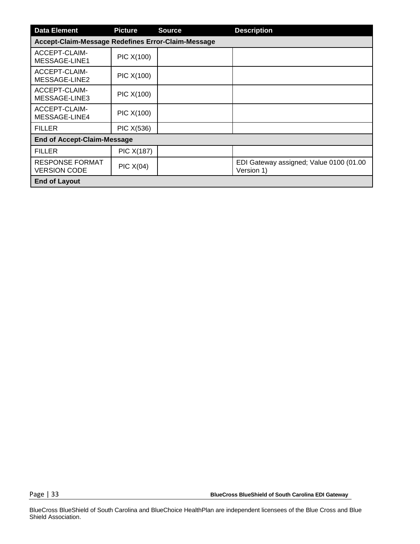| <b>Data Element</b>                                | <b>Picture</b>                     | <b>Source</b> | <b>Description</b>                                    |  |  |  |  |
|----------------------------------------------------|------------------------------------|---------------|-------------------------------------------------------|--|--|--|--|
| Accept-Claim-Message Redefines Error-Claim-Message |                                    |               |                                                       |  |  |  |  |
| ACCEPT-CLAIM-<br>MESSAGE-LINE1                     | PIC X(100)                         |               |                                                       |  |  |  |  |
| ACCEPT-CLAIM-<br>MESSAGE-LINE2                     | PIC X(100)                         |               |                                                       |  |  |  |  |
| ACCEPT-CLAIM-<br>MESSAGE-LINE3                     | PIC X(100)                         |               |                                                       |  |  |  |  |
| ACCEPT-CLAIM-<br>MESSAGE-LINE4                     | PIC X(100)                         |               |                                                       |  |  |  |  |
| <b>FILLER</b>                                      | PIC X(536)                         |               |                                                       |  |  |  |  |
|                                                    | <b>End of Accept-Claim-Message</b> |               |                                                       |  |  |  |  |
| <b>FILLER</b>                                      | <b>PIC X(187)</b>                  |               |                                                       |  |  |  |  |
| <b>RESPONSE FORMAT</b><br><b>VERSION CODE</b>      | PIC X(04)                          |               | EDI Gateway assigned; Value 0100 (01.00<br>Version 1) |  |  |  |  |
| <b>End of Layout</b>                               |                                    |               |                                                       |  |  |  |  |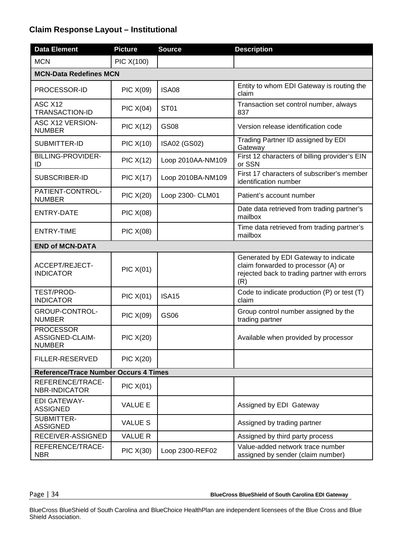### **Claim Response Layout – Institutional**

| <b>Data Element</b>                                  | <b>Picture</b>   | <b>Source</b>     | <b>Description</b>                                                                                                                 |  |  |
|------------------------------------------------------|------------------|-------------------|------------------------------------------------------------------------------------------------------------------------------------|--|--|
| <b>MCN</b>                                           | PIC X(100)       |                   |                                                                                                                                    |  |  |
| <b>MCN-Data Redefines MCN</b>                        |                  |                   |                                                                                                                                    |  |  |
| PROCESSOR-ID                                         | <b>PIC X(09)</b> | <b>ISA08</b>      | Entity to whom EDI Gateway is routing the<br>claim                                                                                 |  |  |
| ASC X12<br><b>TRANSACTION-ID</b>                     | PIC X(04)        | <b>ST01</b>       | Transaction set control number, always<br>837                                                                                      |  |  |
| ASC X12 VERSION-<br><b>NUMBER</b>                    | <b>PIC X(12)</b> | <b>GS08</b>       | Version release identification code                                                                                                |  |  |
| SUBMITTER-ID                                         | <b>PIC X(10)</b> | ISA02 (GS02)      | Trading Partner ID assigned by EDI<br>Gateway                                                                                      |  |  |
| <b>BILLING-PROVIDER-</b><br>ID                       | <b>PIC X(12)</b> | Loop 2010AA-NM109 | First 12 characters of billing provider's EIN<br>or SSN                                                                            |  |  |
| SUBSCRIBER-ID                                        | <b>PIC X(17)</b> | Loop 2010BA-NM109 | First 17 characters of subscriber's member<br>identification number                                                                |  |  |
| PATIENT-CONTROL-<br><b>NUMBER</b>                    | <b>PIC X(20)</b> | Loop 2300- CLM01  | Patient's account number                                                                                                           |  |  |
| <b>ENTRY-DATE</b>                                    | <b>PIC X(08)</b> |                   | Date data retrieved from trading partner's<br>mailbox                                                                              |  |  |
| <b>ENTRY-TIME</b>                                    | <b>PIC X(08)</b> |                   | Time data retrieved from trading partner's<br>mailbox                                                                              |  |  |
| <b>END of MCN-DATA</b>                               |                  |                   |                                                                                                                                    |  |  |
| <b>ACCEPT/REJECT-</b><br><b>INDICATOR</b>            | <b>PIC X(01)</b> |                   | Generated by EDI Gateway to indicate<br>claim forwarded to processor (A) or<br>rejected back to trading partner with errors<br>(R) |  |  |
| TEST/PROD-<br><b>INDICATOR</b>                       | <b>PIC X(01)</b> | <b>ISA15</b>      | Code to indicate production (P) or test (T)<br>claim                                                                               |  |  |
| GROUP-CONTROL-<br><b>NUMBER</b>                      | <b>PIC X(09)</b> | GS06              | Group control number assigned by the<br>trading partner                                                                            |  |  |
| <b>PROCESSOR</b><br>ASSIGNED-CLAIM-<br><b>NUMBER</b> | <b>PIC X(20)</b> |                   | Available when provided by processor                                                                                               |  |  |
| FILLER-RESERVED                                      | <b>PIC X(20)</b> |                   |                                                                                                                                    |  |  |
| <b>Reference/Trace Number Occurs 4 Times</b>         |                  |                   |                                                                                                                                    |  |  |
| REFERENCE/TRACE-<br><b>NBR-INDICATOR</b>             | <b>PIC X(01)</b> |                   |                                                                                                                                    |  |  |
| <b>EDI GATEWAY-</b><br><b>ASSIGNED</b>               | <b>VALUE E</b>   |                   | Assigned by EDI Gateway                                                                                                            |  |  |
| SUBMITTER-<br><b>ASSIGNED</b>                        | <b>VALUE S</b>   |                   | Assigned by trading partner                                                                                                        |  |  |
| RECEIVER-ASSIGNED                                    | <b>VALUE R</b>   |                   | Assigned by third party process                                                                                                    |  |  |
| REFERENCE/TRACE-<br><b>NBR</b>                       | PIC X(30)        | Loop 2300-REF02   | Value-added network trace number<br>assigned by sender (claim number)                                                              |  |  |

Page | 34 **BlueCross BlueShield of South Carolina EDI Gateway**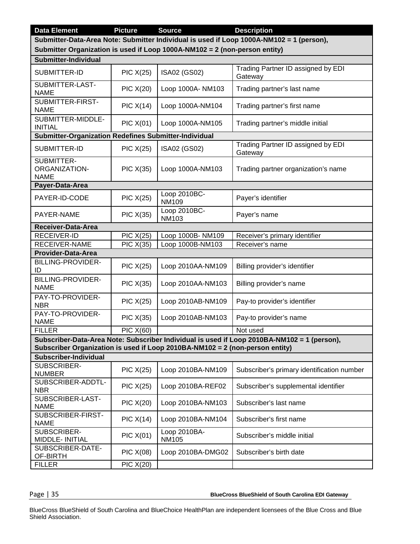| <b>Data Element</b>                                                                                                                                                    | <b>Picture</b>           | <b>Source</b>                | <b>Description</b>                                                                          |  |  |  |  |  |  |
|------------------------------------------------------------------------------------------------------------------------------------------------------------------------|--------------------------|------------------------------|---------------------------------------------------------------------------------------------|--|--|--|--|--|--|
|                                                                                                                                                                        |                          |                              |                                                                                             |  |  |  |  |  |  |
| Submitter-Data-Area Note: Submitter Individual is used if Loop 1000A-NM102 = 1 (person),<br>Submitter Organization is used if Loop 1000A-NM102 = 2 (non-person entity) |                          |                              |                                                                                             |  |  |  |  |  |  |
|                                                                                                                                                                        |                          |                              |                                                                                             |  |  |  |  |  |  |
| Submitter-Individual                                                                                                                                                   |                          |                              |                                                                                             |  |  |  |  |  |  |
| SUBMITTER-ID                                                                                                                                                           | <b>PIC X(25)</b>         | ISA02 (GS02)                 | Trading Partner ID assigned by EDI<br>Gateway                                               |  |  |  |  |  |  |
| SUBMITTER-LAST-<br><b>NAME</b>                                                                                                                                         | <b>PIC X(20)</b>         | Loop 1000A- NM103            | Trading partner's last name                                                                 |  |  |  |  |  |  |
| SUBMITTER-FIRST-<br><b>NAME</b>                                                                                                                                        | PIC X(14)                | Loop 1000A-NM104             | Trading partner's first name                                                                |  |  |  |  |  |  |
| SUBMITTER-MIDDLE-<br><b>INITIAL</b>                                                                                                                                    | PIC X(01)                | Loop 1000A-NM105             | Trading partner's middle initial                                                            |  |  |  |  |  |  |
| <b>Submitter-Organization Redefines Submitter-Individual</b>                                                                                                           |                          |                              |                                                                                             |  |  |  |  |  |  |
| SUBMITTER-ID                                                                                                                                                           | $\overline{PIC}$ $X(25)$ | ISA02 (GS02)                 | Trading Partner ID assigned by EDI<br>Gateway                                               |  |  |  |  |  |  |
| SUBMITTER-<br><b>ORGANIZATION-</b><br><b>NAME</b>                                                                                                                      | PIC X(35)                | Loop 1000A-NM103             | Trading partner organization's name                                                         |  |  |  |  |  |  |
| Payer-Data-Area                                                                                                                                                        |                          |                              |                                                                                             |  |  |  |  |  |  |
| PAYER-ID-CODE                                                                                                                                                          | PIC X(25)                | Loop 2010BC-<br><b>NM109</b> | Payer's identifier                                                                          |  |  |  |  |  |  |
| PAYER-NAME                                                                                                                                                             | <b>PIC X(35)</b>         | Loop 2010BC-<br><b>NM103</b> | Payer's name                                                                                |  |  |  |  |  |  |
| <b>Receiver-Data-Area</b>                                                                                                                                              |                          |                              |                                                                                             |  |  |  |  |  |  |
| <b>RECEIVER-ID</b>                                                                                                                                                     | <b>PIC X(25)</b>         | Loop 1000B- NM109            | Receiver's primary identifier                                                               |  |  |  |  |  |  |
| <b>RECEIVER-NAME</b>                                                                                                                                                   | <b>PIC X(35)</b>         | Loop 1000B-NM103             | Receiver's name                                                                             |  |  |  |  |  |  |
| <b>Provider-Data-Area</b>                                                                                                                                              |                          |                              |                                                                                             |  |  |  |  |  |  |
| <b>BILLING-PROVIDER-</b><br>ID                                                                                                                                         | <b>PIC X(25)</b>         | Loop 2010AA-NM109            | Billing provider's identifier                                                               |  |  |  |  |  |  |
| <b>BILLING-PROVIDER-</b><br><b>NAME</b>                                                                                                                                | PIC X(35)                | Loop 2010AA-NM103            | Billing provider's name                                                                     |  |  |  |  |  |  |
| PAY-TO-PROVIDER-<br><b>NBR</b>                                                                                                                                         | PIC $X(25)$              | Loop 2010AB-NM109            | Pay-to provider's identifier                                                                |  |  |  |  |  |  |
| PAY-TO-PROVIDER-<br><b>NAME</b>                                                                                                                                        | <b>PIC X(35)</b>         | Loop 2010AB-NM103            | Pay-to provider's name                                                                      |  |  |  |  |  |  |
| <b>FILLER</b>                                                                                                                                                          | <b>PIC X(60)</b>         |                              | Not used                                                                                    |  |  |  |  |  |  |
| Subscriber Organization is used if Loop 2010BA-NM102 = 2 (non-person entity)                                                                                           |                          |                              | Subscriber-Data-Area Note: Subscriber Individual is used if Loop 2010BA-NM102 = 1 (person), |  |  |  |  |  |  |
| Subscriber-Individual                                                                                                                                                  |                          |                              |                                                                                             |  |  |  |  |  |  |
| SUBSCRIBER-<br><b>NUMBER</b>                                                                                                                                           | <b>PIC X(25)</b>         | Loop 2010BA-NM109            | Subscriber's primary identification number                                                  |  |  |  |  |  |  |
| SUBSCRIBER-ADDTL-<br><b>NBR</b>                                                                                                                                        | <b>PIC X(25)</b>         | Loop 2010BA-REF02            | Subscriber's supplemental identifier                                                        |  |  |  |  |  |  |
| SUBSCRIBER-LAST-<br><b>NAME</b>                                                                                                                                        | <b>PIC X(20)</b>         | Loop 2010BA-NM103            | Subscriber's last name                                                                      |  |  |  |  |  |  |
| SUBSCRIBER-FIRST-<br><b>NAME</b>                                                                                                                                       | PIC X(14)                | Loop 2010BA-NM104            | Subscriber's first name                                                                     |  |  |  |  |  |  |
| SUBSCRIBER-<br>MIDDLE- INITIAL                                                                                                                                         | <b>PIC X(01)</b>         | Loop 2010BA-<br><b>NM105</b> | Subscriber's middle initial                                                                 |  |  |  |  |  |  |
| SUBSCRIBER-DATE-<br>OF-BIRTH                                                                                                                                           | <b>PIC X(08)</b>         | Loop 2010BA-DMG02            | Subscriber's birth date                                                                     |  |  |  |  |  |  |
| <b>FILLER</b>                                                                                                                                                          | <b>PIC X(20)</b>         |                              |                                                                                             |  |  |  |  |  |  |

Page | 35 **BlueCross BlueShield of South Carolina EDI Gateway**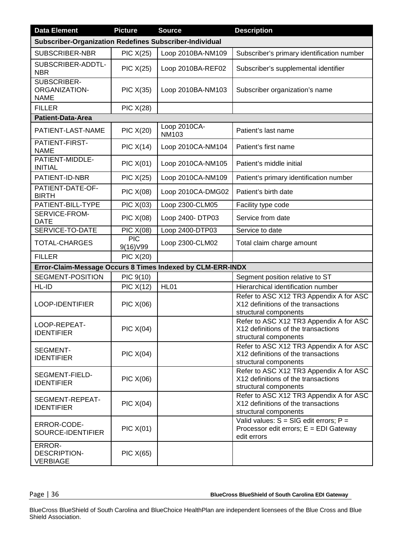| <b>Data Element</b>                                        | <b>Picture</b>           | <b>Source</b>                | <b>Description</b>                                                                                      |  |  |
|------------------------------------------------------------|--------------------------|------------------------------|---------------------------------------------------------------------------------------------------------|--|--|
| Subscriber-Organization Redefines Subscriber-Individual    |                          |                              |                                                                                                         |  |  |
| SUBSCRIBER-NBR                                             | <b>PIC X(25)</b>         | Loop 2010BA-NM109            | Subscriber's primary identification number                                                              |  |  |
| SUBSCRIBER-ADDTL-<br><b>NBR</b>                            | <b>PIC X(25)</b>         | Loop 2010BA-REF02            | Subscriber's supplemental identifier                                                                    |  |  |
| SUBSCRIBER-<br><b>ORGANIZATION-</b><br><b>NAME</b>         | <b>PIC X(35)</b>         | Loop 2010BA-NM103            | Subscriber organization's name                                                                          |  |  |
| <b>FILLER</b>                                              | <b>PIC X(28)</b>         |                              |                                                                                                         |  |  |
| <b>Patient-Data-Area</b>                                   |                          |                              |                                                                                                         |  |  |
| PATIENT-LAST-NAME                                          | <b>PIC X(20)</b>         | Loop 2010CA-<br><b>NM103</b> | Patient's last name                                                                                     |  |  |
| PATIENT-FIRST-<br><b>NAME</b>                              | PIC X(14)                | Loop 2010CA-NM104            | Patient's first name                                                                                    |  |  |
| PATIENT-MIDDLE-<br><b>INITIAL</b>                          | $\overline{PIC}X(01)$    | Loop 2010CA-NM105            | Patient's middle initial                                                                                |  |  |
| PATIENT-ID-NBR                                             | <b>PIC X(25)</b>         | Loop 2010CA-NM109            | Patient's primary identification number                                                                 |  |  |
| PATIENT-DATE-OF-<br><b>BIRTH</b>                           | <b>PIC X(08)</b>         | Loop 2010CA-DMG02            | Patient's birth date                                                                                    |  |  |
| PATIENT-BILL-TYPE                                          | <b>PIC X(03)</b>         | Loop 2300-CLM05              | Facility type code                                                                                      |  |  |
| SERVICE-FROM-<br><b>DATE</b>                               | <b>PIC X(08)</b>         | Loop 2400- DTP03             | Service from date                                                                                       |  |  |
| SERVICE-TO-DATE                                            | $\overline{PIC}$ $X(08)$ | Loop 2400-DTP03              | Service to date                                                                                         |  |  |
| TOTAL-CHARGES                                              | <b>PIC</b><br>9(16) V99  | Loop 2300-CLM02              | Total claim charge amount                                                                               |  |  |
| <b>FILLER</b>                                              | $\overline{PIC}$ $X(20)$ |                              |                                                                                                         |  |  |
| Error-Claim-Message Occurs 8 Times Indexed by CLM-ERR-INDX |                          |                              |                                                                                                         |  |  |
| SEGMENT-POSITION                                           | PIC 9(10)                |                              | Segment position relative to ST                                                                         |  |  |
| HL-ID                                                      | <b>PIC X(12)</b>         | <b>HL01</b>                  | Hierarchical identification number                                                                      |  |  |
| LOOP-IDENTIFIER                                            | <b>PIC X(06)</b>         |                              | Refer to ASC X12 TR3 Appendix A for ASC<br>X12 definitions of the transactions<br>structural components |  |  |
| LOOP-REPEAT-<br><b>IDENTIFIER</b>                          | PIC X(04)                |                              | Refer to ASC X12 TR3 Appendix A for ASC<br>X12 definitions of the transactions<br>structural components |  |  |
| SEGMENT-<br><b>IDENTIFIER</b>                              | PIC X(04)                |                              | Refer to ASC X12 TR3 Appendix A for ASC<br>X12 definitions of the transactions<br>structural components |  |  |
| SEGMENT-FIELD-<br><b>IDENTIFIER</b>                        | PIC X(06)                |                              | Refer to ASC X12 TR3 Appendix A for ASC<br>X12 definitions of the transactions<br>structural components |  |  |
| SEGMENT-REPEAT-<br><b>IDENTIFIER</b>                       | PIC X(04)                |                              | Refer to ASC X12 TR3 Appendix A for ASC<br>X12 definitions of the transactions<br>structural components |  |  |
| ERROR-CODE-<br>SOURCE-IDENTIFIER                           | PIC X(01)                |                              | Valid values: $S = SIG$ edit errors; $P =$<br>Processor edit errors; $E = EDI$ Gateway<br>edit errors   |  |  |
| ERROR-<br><b>DESCRIPTION-</b><br><b>VERBIAGE</b>           | PIC X(65)                |                              |                                                                                                         |  |  |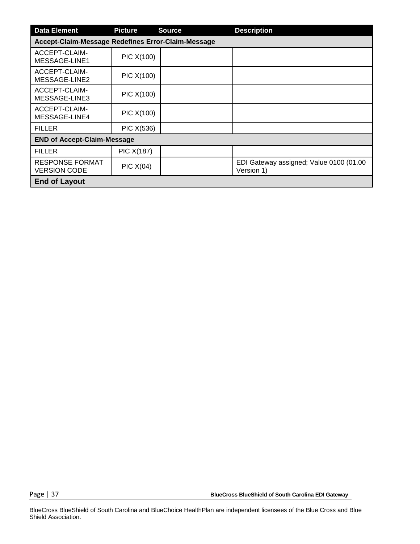| <b>Data Element</b>                                | <b>Picture</b>                     | <b>Source</b> | <b>Description</b>                                    |  |  |  |  |  |
|----------------------------------------------------|------------------------------------|---------------|-------------------------------------------------------|--|--|--|--|--|
| Accept-Claim-Message Redefines Error-Claim-Message |                                    |               |                                                       |  |  |  |  |  |
| ACCEPT-CLAIM-<br>MESSAGE-LINE1                     | PIC X(100)                         |               |                                                       |  |  |  |  |  |
| ACCEPT-CLAIM-<br>MESSAGE-LINE2                     | PIC X(100)                         |               |                                                       |  |  |  |  |  |
| ACCEPT-CLAIM-<br>MESSAGE-LINE3                     | PIC X(100)                         |               |                                                       |  |  |  |  |  |
| ACCEPT-CLAIM-<br>MESSAGE-LINE4                     | PIC X(100)                         |               |                                                       |  |  |  |  |  |
| <b>FILLER</b>                                      | PIC X(536)                         |               |                                                       |  |  |  |  |  |
|                                                    | <b>END of Accept-Claim-Message</b> |               |                                                       |  |  |  |  |  |
| <b>FILLER</b>                                      | <b>PIC X(187)</b>                  |               |                                                       |  |  |  |  |  |
| <b>RESPONSE FORMAT</b><br><b>VERSION CODE</b>      | PIC X(04)                          |               | EDI Gateway assigned; Value 0100 (01.00<br>Version 1) |  |  |  |  |  |
| <b>End of Layout</b>                               |                                    |               |                                                       |  |  |  |  |  |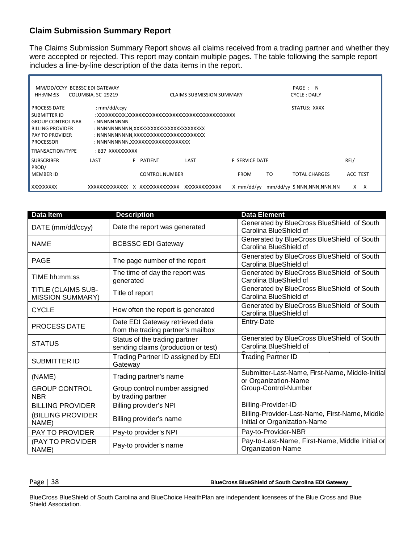#### **Claim Submission Summary Report**

The Claims Submission Summary Report shows all claims received from a trading partner and whether they were accepted or rejected. This report may contain multiple pages. The table following the sample report includes a line-by-line description of the data items in the report.

| MM/DD/CCYY BCBSSC EDI GATEWAY<br>HH:MM:SS                                                                                                | COLUMBIA, SC 29219                                                                                                                                                 |           |                       | <b>CLAIMS SUBMISSION SUMMARY</b> |  |                       |    | PAGE: N<br><b>CYCLE: DAILY</b> |          |   |
|------------------------------------------------------------------------------------------------------------------------------------------|--------------------------------------------------------------------------------------------------------------------------------------------------------------------|-----------|-----------------------|----------------------------------|--|-----------------------|----|--------------------------------|----------|---|
| <b>PROCESS DATE</b><br>SUBMITTER ID<br><b>GROUP CONTROL NBR</b><br><b>BILLING PROVIDER</b><br><b>PAY TO PROVIDER</b><br><b>PROCESSOR</b> | : $mm/dd/ccyy$<br>STATUS: XXXX<br>: NNNNNNNNN<br>: NNNNNNNNNN,XXXXXXXXXXXXXXXXXXXXXXXX<br>: NNNNNNNNNN,XXXXXXXXXXXXXXXXXXXXXXXX<br>: NNNNNNNNN,XXXXXXXXXXXXXXXXXXX |           |                       |                                  |  |                       |    |                                |          |   |
| TRANSACTION/TYPE                                                                                                                         | : 837 XXXXXXXXX                                                                                                                                                    |           |                       |                                  |  |                       |    |                                |          |   |
| <b>SUBSCRIBER</b><br>PROD/                                                                                                               | LAST                                                                                                                                                               | F PATIENT |                       | LAST                             |  | <b>F SERVICE DATE</b> |    |                                | REJ/     |   |
| <b>MEMBER ID</b>                                                                                                                         |                                                                                                                                                                    |           | <b>CONTROL NUMBER</b> |                                  |  | <b>FROM</b>           | TO | <b>TOTAL CHARGES</b>           | ACC TEST |   |
| XXXXXXXXX                                                                                                                                | XXXXXXXXXXXXXXXXXXXXXXXXXXXXXXX                                                                                                                                    |           |                       | XXXXXXXXXXXXX                    |  | X mm/dd/vv            |    | mm/dd/yy \$ NNN,NNN,NNN.NN     | X        | X |

| Data Item                                     | <b>Description</b>                                                    | <b>Data Element</b>                                                            |
|-----------------------------------------------|-----------------------------------------------------------------------|--------------------------------------------------------------------------------|
| DATE (mm/dd/ccyy)                             | Date the report was generated                                         | Generated by BlueCross BlueShield of South<br>Carolina BlueShield of           |
| <b>NAME</b>                                   | <b>BCBSSC EDI Gateway</b>                                             | Generated by BlueCross BlueShield of South<br>Carolina BlueShield of           |
| <b>PAGE</b>                                   | The page number of the report                                         | Generated by BlueCross BlueShield of South<br>Carolina BlueShield of           |
| TIME hh:mm:ss                                 | The time of day the report was<br>generated                           | Generated by BlueCross BlueShield of South<br>Carolina BlueShield of           |
| TITLE (CLAIMS SUB-<br><b>MISSION SUMMARY)</b> | Title of report                                                       | Generated by BlueCross BlueShield of South<br>Carolina BlueShield of           |
| <b>CYCLE</b>                                  | How often the report is generated                                     | Generated by BlueCross BlueShield of South<br>Carolina BlueShield of           |
| <b>PROCESS DATE</b>                           | Date EDI Gateway retrieved data<br>from the trading partner's mailbox | Entry-Date                                                                     |
| <b>STATUS</b>                                 | Status of the trading partner<br>sending claims (production or test)  | Generated by BlueCross BlueShield of South<br>Carolina BlueShield of           |
| <b>SUBMITTER ID</b>                           | Trading Partner ID assigned by EDI<br>Gateway                         | <b>Trading Partner ID</b>                                                      |
| (NAME)                                        | Trading partner's name                                                | Submitter-Last-Name, First-Name, Middle-Initial<br>or Organization-Name        |
| <b>GROUP CONTROL</b><br><b>NBR</b>            | Group control number assigned<br>by trading partner                   | Group-Control-Number                                                           |
| <b>BILLING PROVIDER</b>                       | <b>Billing provider's NPI</b>                                         | Billing-Provider-ID                                                            |
| (BILLING PROVIDER<br>NAME)                    | Billing provider's name                                               | Billing-Provider-Last-Name, First-Name, Middle<br>Initial or Organization-Name |
| PAY TO PROVIDER                               | Pay-to provider's NPI                                                 | Pay-to-Provider-NBR                                                            |
| (PAY TO PROVIDER<br>NAME)                     | Pay-to provider's name                                                | Pay-to-Last-Name, First-Name, Middle Initial or<br>Organization-Name           |

Page | 38 **BlueCross BlueShield of South Carolina EDI Gateway**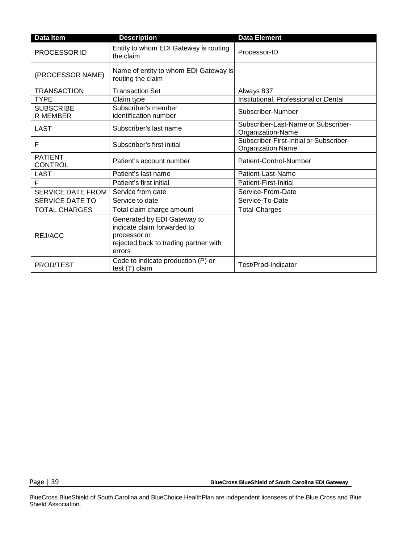| Data Item                    | <b>Description</b>                                                                                                            | <b>Data Element</b>                                                 |
|------------------------------|-------------------------------------------------------------------------------------------------------------------------------|---------------------------------------------------------------------|
| <b>PROCESSOR ID</b>          | Entity to whom EDI Gateway is routing<br>the claim                                                                            | Processor-ID                                                        |
| (PROCESSOR NAME)             | Name of entity to whom EDI Gateway is<br>routing the claim                                                                    |                                                                     |
| <b>TRANSACTION</b>           | <b>Transaction Set</b>                                                                                                        | Always 837                                                          |
| <b>TYPE</b>                  | Claim type                                                                                                                    | Institutional, Professional or Dental                               |
| <b>SUBSCRIBE</b><br>R MEMBER | Subscriber's member<br>identification number                                                                                  | Subscriber-Number                                                   |
| <b>LAST</b>                  | Subscriber's last name                                                                                                        | Subscriber-Last-Name or Subscriber-<br>Organization-Name            |
| F                            | Subscriber's first initial                                                                                                    | Subscriber-First-Initial or Subscriber-<br><b>Organization Name</b> |
| <b>PATIENT</b><br>CONTROL    | Patient's account number                                                                                                      | Patient-Control-Number                                              |
| <b>LAST</b>                  | Patient's last name                                                                                                           | Patient-Last-Name                                                   |
| F                            | Patient's first initial                                                                                                       | Patient-First-Initial                                               |
| <b>SERVICE DATE FROM</b>     | Service from date                                                                                                             | Service-From-Date                                                   |
| <b>SERVICE DATE TO</b>       | Service to date                                                                                                               | Service-To-Date                                                     |
| <b>TOTAL CHARGES</b>         | Total claim charge amount                                                                                                     | <b>Total-Charges</b>                                                |
| REJ/ACC                      | Generated by EDI Gateway to<br>indicate claim forwarded to<br>processor or<br>rejected back to trading partner with<br>errors |                                                                     |
| PROD/TEST                    | Code to indicate production (P) or<br>test (T) claim                                                                          | Test/Prod-Indicator                                                 |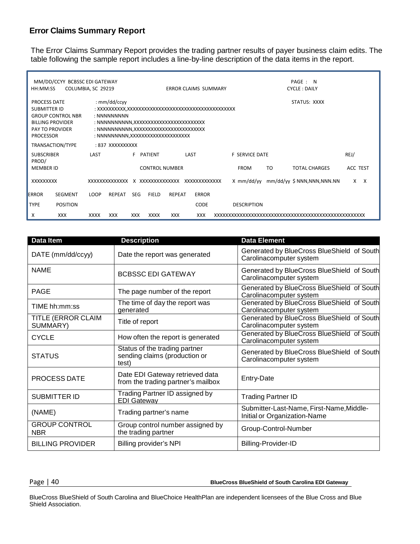#### **Error Claims Summary Report**

The Error Claims Summary Report provides the trading partner results of payer business claim edits. The table following the sample report includes a line-by-line description of the data items in the report.

| HH:MM:SS                                                                                                            | MM/DD/CCYY BCBSSC EDI GATEWAY |             | COLUMBIA, SC 29219<br><b>ERROR CLAIMS SUMMARY</b>                                                                                                                    |            |                       |               |              | PAGE: N<br><b>CYCLE: DAILY</b> |  |                       |     |                            |                 |              |
|---------------------------------------------------------------------------------------------------------------------|-------------------------------|-------------|----------------------------------------------------------------------------------------------------------------------------------------------------------------------|------------|-----------------------|---------------|--------------|--------------------------------|--|-----------------------|-----|----------------------------|-----------------|--------------|
| <b>PROCESS DATE</b><br><b>SUBMITTER ID</b><br><b>BILLING PROVIDER</b><br><b>PAY TO PROVIDER</b><br><b>PROCESSOR</b> | <b>GROUP CONTROL NBR</b>      |             | : $mm/dd/ccyy$<br>STATUS: XXXX<br>: NNNNNNNNN<br>: NNNNNNNNNN, XXXXXXXXXXXXXXXXXXXXXXXX<br>: NNNNNNNNNN,XXXXXXXXXXXXXXXXXXXXXXXX<br>: NNNNNNNNN,XXXXXXXXXXXXXXXXXXXX |            |                       |               |              |                                |  |                       |     |                            |                 |              |
|                                                                                                                     | TRANSACTION/TYPE              |             | : 837 XXXXXXXXXX                                                                                                                                                     |            |                       |               |              |                                |  |                       |     |                            |                 |              |
| <b>SUBSCRIBER</b><br>PROD/                                                                                          |                               | LAST        |                                                                                                                                                                      | F.         | PATIENT               |               | LAST         |                                |  | <b>F SERVICE DATE</b> |     |                            | REJ/            |              |
| <b>MEMBER ID</b>                                                                                                    |                               |             |                                                                                                                                                                      |            | <b>CONTROL NUMBER</b> |               |              |                                |  | <b>FROM</b>           | TO. | <b>TOTAL CHARGES</b>       | <b>ACC TEST</b> |              |
| XXXXXXXXX                                                                                                           |                               |             |                                                                                                                                                                      |            |                       |               |              |                                |  | X mm/dd/vv            |     | mm/dd/yy \$ NNN,NNN,NNN.NN | X               | $\mathsf{X}$ |
| <b>ERROR</b>                                                                                                        | <b>SEGMENT</b>                | LOOP        | <b>REPEAT</b>                                                                                                                                                        | SEG.       | <b>FIELD</b>          | <b>REPEAT</b> | <b>ERROR</b> |                                |  |                       |     |                            |                 |              |
| <b>TYPE</b>                                                                                                         | <b>POSITION</b>               |             |                                                                                                                                                                      |            |                       |               | CODE         |                                |  | <b>DESCRIPTION</b>    |     |                            |                 |              |
| X                                                                                                                   | <b>XXX</b>                    | <b>XXXX</b> | <b>XXX</b>                                                                                                                                                           | <b>XXX</b> | <b>XXXX</b>           | <b>XXX</b>    | <b>XXX</b>   |                                |  |                       |     |                            |                 |              |

| <b>Data Item</b>                   | <b>Description</b>                                                      | <b>Data Element</b>                                                      |
|------------------------------------|-------------------------------------------------------------------------|--------------------------------------------------------------------------|
| DATE (mm/dd/ccyy)                  | Date the report was generated                                           | Generated by BlueCross BlueShield of South<br>Carolinacomputer system    |
| <b>NAME</b>                        | <b>BCBSSC EDI GATEWAY</b>                                               | Generated by BlueCross BlueShield of South<br>Carolinacomputer system    |
| <b>PAGE</b>                        | The page number of the report                                           | Generated by BlueCross BlueShield of South<br>Carolinacomputer system    |
| TIME hh:mm:ss                      | The time of day the report was<br>generated                             | Generated by BlueCross BlueShield of South<br>Carolinacomputer system    |
| TITLE (ERROR CLAIM<br>SUMMARY)     | Title of report                                                         | Generated by BlueCross BlueShield of South<br>Carolinacomputer system    |
| <b>CYCLE</b>                       | How often the report is generated                                       | Generated by BlueCross BlueShield of South<br>Carolinacomputer system    |
| <b>STATUS</b>                      | Status of the trading partner<br>sending claims (production or<br>test) | Generated by BlueCross BlueShield of South<br>Carolinacomputer system    |
| PROCESS DATE                       | Date EDI Gateway retrieved data<br>from the trading partner's mailbox   | Entry-Date                                                               |
| <b>SUBMITTER ID</b>                | Trading Partner ID assigned by<br><b>EDI Gateway</b>                    | <b>Trading Partner ID</b>                                                |
| (NAME)                             | Trading partner's name                                                  | Submitter-Last-Name, First-Name, Middle-<br>Initial or Organization-Name |
| <b>GROUP CONTROL</b><br><b>NBR</b> | Group control number assigned by<br>the trading partner                 | Group-Control-Number                                                     |
| <b>BILLING PROVIDER</b>            | Billing provider's NPI                                                  | <b>Billing-Provider-ID</b>                                               |

Page | 40 **BlueCross BlueShield of South Carolina EDI Gateway**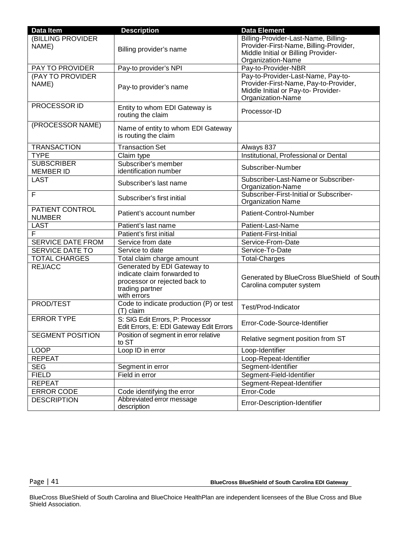| Data Item                | <b>Description</b>                       | <b>Data Element</b>                        |  |  |  |
|--------------------------|------------------------------------------|--------------------------------------------|--|--|--|
| (BILLING PROVIDER        |                                          | Billing-Provider-Last-Name, Billing-       |  |  |  |
| NAME)                    | Billing provider's name                  | Provider-First-Name, Billing-Provider,     |  |  |  |
|                          |                                          | Middle Initial or Billing Provider-        |  |  |  |
| <b>PAY TO PROVIDER</b>   | Pay-to provider's NPI                    | Organization-Name<br>Pay-to-Provider-NBR   |  |  |  |
| (PAY TO PROVIDER         |                                          | Pay-to-Provider-Last-Name, Pay-to-         |  |  |  |
| NAME)                    |                                          | Provider-First-Name, Pay-to-Provider,      |  |  |  |
|                          | Pay-to provider's name                   | Middle Initial or Pay-to-Provider-         |  |  |  |
|                          |                                          | Organization-Name                          |  |  |  |
| PROCESSOR ID             | Entity to whom EDI Gateway is            | Processor-ID                               |  |  |  |
|                          | routing the claim                        |                                            |  |  |  |
| (PROCESSOR NAME)         | Name of entity to whom EDI Gateway       |                                            |  |  |  |
|                          | is routing the claim                     |                                            |  |  |  |
| <b>TRANSACTION</b>       | <b>Transaction Set</b>                   | Always 837                                 |  |  |  |
| <b>TYPE</b>              | Claim type                               | Institutional, Professional or Dental      |  |  |  |
| <b>SUBSCRIBER</b>        | Subscriber's member                      |                                            |  |  |  |
| <b>MEMBER ID</b>         | identification number                    | Subscriber-Number                          |  |  |  |
| <b>LAST</b>              | Subscriber's last name                   | Subscriber-Last-Name or Subscriber-        |  |  |  |
|                          |                                          | Organization-Name                          |  |  |  |
| F                        | Subscriber's first initial               | Subscriber-First-Initial or Subscriber-    |  |  |  |
| <b>PATIENT CONTROL</b>   |                                          | <b>Organization Name</b>                   |  |  |  |
| <b>NUMBER</b>            | Patient's account number                 | Patient-Control-Number                     |  |  |  |
| <b>LAST</b>              | Patient's last name                      | Patient-Last-Name                          |  |  |  |
| $\overline{F}$           | Patient's first initial                  | Patient-First-Initial                      |  |  |  |
| <b>SERVICE DATE FROM</b> | Service from date                        | Service-From-Date                          |  |  |  |
| <b>SERVICE DATE TO</b>   | Service to date                          | Service-To-Date                            |  |  |  |
| <b>TOTAL CHARGES</b>     | Total claim charge amount                | <b>Total-Charges</b>                       |  |  |  |
| <b>REJ/ACC</b>           | Generated by EDI Gateway to              |                                            |  |  |  |
|                          | indicate claim forwarded to              | Generated by BlueCross BlueShield of South |  |  |  |
|                          | processor or rejected back to            | Carolina computer system                   |  |  |  |
|                          | trading partner<br>with errors           |                                            |  |  |  |
| <b>PROD/TEST</b>         | Code to indicate production (P) or test  |                                            |  |  |  |
|                          | (T) claim                                | Test/Prod-Indicator                        |  |  |  |
| <b>ERROR TYPE</b>        | S: SIG Edit Errors, P: Processor         | Error-Code-Source-Identifier               |  |  |  |
|                          | Edit Errors, E: EDI Gateway Edit Errors  |                                            |  |  |  |
| <b>SEGMENT POSITION</b>  | Position of segment in error relative    | Relative segment position from ST          |  |  |  |
|                          | to ST                                    |                                            |  |  |  |
| <b>LOOP</b>              | Loop ID in error                         | Loop-Identifier                            |  |  |  |
| <b>REPEAT</b>            |                                          | Loop-Repeat-Identifier                     |  |  |  |
| <b>SEG</b>               | Segment in error                         | Segment-Identifier                         |  |  |  |
| <b>FIELD</b>             | Field in error                           | Segment-Field-Identifier                   |  |  |  |
| <b>REPEAT</b>            |                                          | Segment-Repeat-Identifier                  |  |  |  |
| <b>ERROR CODE</b>        | Code identifying the error               | Error-Code                                 |  |  |  |
| <b>DESCRIPTION</b>       | Abbreviated error message<br>description | Error-Description-Identifier               |  |  |  |

Page | 41 **BlueCross BlueShield of South Carolina EDI Gateway**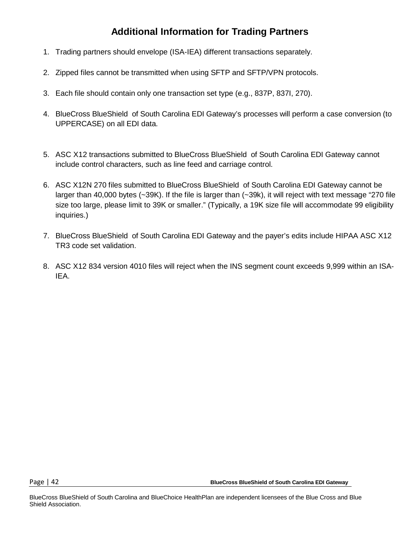## **Additional Information for Trading Partners**

- 1. Trading partners should envelope (ISA-IEA) different transactions separately.
- 2. Zipped files cannot be transmitted when using SFTP and SFTP/VPN protocols.
- 3. Each file should contain only one transaction set type (e.g., 837P, 837I, 270).
- 4. BlueCross BlueShield of South Carolina EDI Gateway's processes will perform a case conversion (to UPPERCASE) on all EDI data.
- 5. ASC X12 transactions submitted to BlueCross BlueShield of South Carolina EDI Gateway cannot include control characters, such as line feed and carriage control.
- 6. ASC X12N 270 files submitted to BlueCross BlueShield of South Carolina EDI Gateway cannot be larger than 40,000 bytes (~39K). If the file is larger than (~39k), it will reject with text message "270 file size too large, please limit to 39K or smaller." (Typically, a 19K size file will accommodate 99 eligibility inquiries.)
- 7. BlueCross BlueShield of South Carolina EDI Gateway and the payer's edits include HIPAA ASC X12 TR3 code set validation.
- 8. ASC X12 834 version 4010 files will reject when the INS segment count exceeds 9,999 within an ISA-IEA.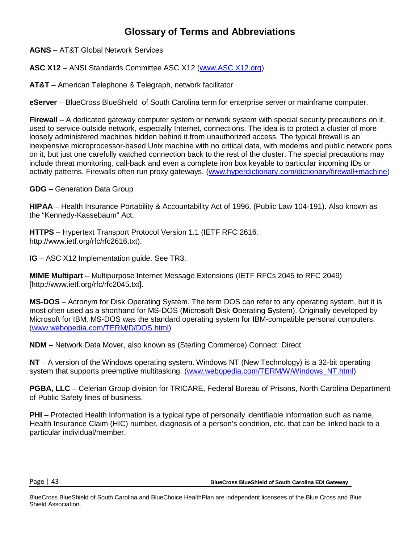### **Glossary of Terms and Abbreviations**

**AGNS** – AT&T Global Network Services

**ASC X12** – ANSI Standards Committee ASC X12 [\(www.ASC X12.org\)](http://www.x12.org/)

**AT&T** – American Telephone & Telegraph, network facilitator

**eServer** – BlueCross BlueShield of South Carolina term for enterprise server or mainframe computer.

**Firewall** – A dedicated gateway computer system or network system with special security precautions on it, used to service outside network, especially Internet, connections. The idea is to protect a cluster of more loosely administered machines hidden behind it from unauthorized access. The typical firewall is an inexpensive microprocessor-based Unix machine with no critical data, with modems and public network ports on it, but just one carefully watched connection back to the rest of the cluster. The special precautions may include threat monitoring, call-back and even a complete iron box keyable to particular incoming IDs or activity patterns. Firewalls often run proxy gateways. [\(www.hyperdictionary.com/dictionary/firewall+machine\)](http://www.hyperdictionary.com/dictionary/firewall%2Bmachine)

**GDG** – Generation Data Group

**HIPAA** – Health Insurance Portability & Accountability Act of 1996, (Public Law 104-191). Also known as the "Kennedy-Kassebaum" Act.

**HTTPS** – Hypertext Transport Protocol Version 1.1 (IETF RFC 2616: [http://www.ietf.org/rfc/rfc2616.txt\).](http://www.ietf.org/rfc/rfc2616.txt))

**IG** – ASC X12 Implementation guide. See TR3.

**MIME Multipart** – Multipurpose Internet Message Extensions (IETF RFCs 2045 to RFC 2049) [\[http://www.ietf.org/rfc/rfc2045.txt\].](http://www.ietf.org/rfc/rfc2045.txt)

**MS-DOS** – Acronym for Disk Operating System. The term DOS can refer to any operating system, but it is most often used as a shorthand for MS-DOS (**M**icro**s**oft **D**isk **O**perating **S**ystem). Originally developed by Microsoft for IBM, MS-DOS was the standard operating system for IBM-compatible personal computers. [\(www.webopedia.com/TERM/D/DOS.html\)](http://www.webopedia.com/TERM/D/DOS.html)

**NDM** – Network Data Mover, also known as (Sterling Commerce) Connect: Direct.

**NT** – A version of the Windows operating system. Windows NT (New Technology) is a 32-bit operating system that supports preemptive multitasking. [\(www.webopedia.com/TERM/W/Windows\\_NT.html\)](http://www.webopedia.com/TERM/W/Windows_NT.html)

**PGBA, LLC** – Celerian Group division for TRICARE, Federal Bureau of Prisons, North Carolina Department of Public Safety lines of business.

**PHI** – Protected Health Information is a typical type of personally identifiable information such as name, Health Insurance Claim (HIC) number, diagnosis of a person's condition, etc. that can be linked back to a particular individual/member.

Page | 43 **BlueCross BlueShield of South Carolina EDI Gateway**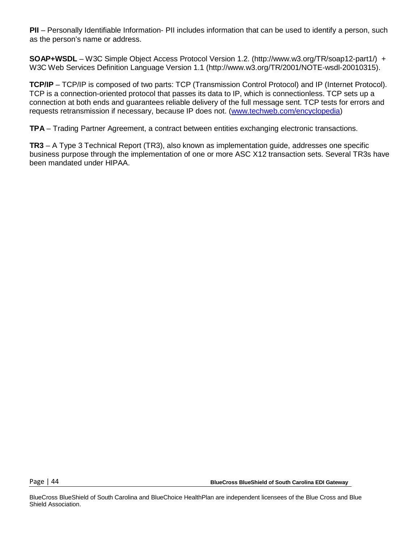**PII** – Personally Identifiable Information- PII includes information that can be used to identify a person, such as the person's name or address.

**SOAP+WSDL** – W3C Simple Object Access Protocol Version 1.2. [\(http://www.w3.org/TR/soap12-part1/\) +](http://www.w3.org/TR/soap12-part1/)) W3C Web Services Definition Language Version 1.1 [\(http://www.w3.org/TR/2001/NOTE-wsdl-20010315\).](http://www.w3.org/TR/2001/NOTE-wsdl-20010315))

**TCP/IP** – TCP/IP is composed of two parts: TCP (Transmission Control Protocol) and IP (Internet Protocol). TCP is a connection-oriented protocol that passes its data to IP, which is connectionless. TCP sets up a connection at both ends and guarantees reliable delivery of the full message sent. TCP tests for errors and requests retransmission if necessary, because IP does not. [\(www.techweb.com/encyclopedia\)](http://www.techweb.com/encyclopedia)

**TPA** – Trading Partner Agreement, a contract between entities exchanging electronic transactions.

**TR3** – A Type 3 Technical Report (TR3), also known as implementation guide, addresses one specific business purpose through the implementation of one or more ASC X12 transaction sets. Several TR3s have been mandated under HIPAA.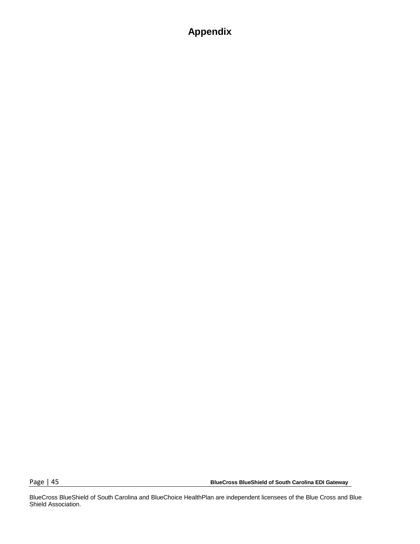## **Appendix**

Page | 45 **BlueCross BlueShield of South Carolina EDI Gateway**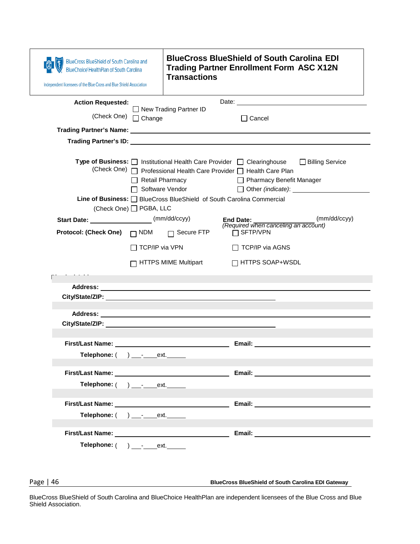| BlueCross BlueShield of South Carolina and<br><b>BlueChoice HealthPlan of South Carolina</b><br>Independent licensees of the Blue Cross and Blue Shield Association                                                           | <b>BlueCross BlueShield of South Carolina EDI</b><br><b>Trading Partner Enrollment Form ASC X12N</b><br><b>Transactions</b>                                                                                                                                                                                                                                                                                                                                                                                                                                           |
|-------------------------------------------------------------------------------------------------------------------------------------------------------------------------------------------------------------------------------|-----------------------------------------------------------------------------------------------------------------------------------------------------------------------------------------------------------------------------------------------------------------------------------------------------------------------------------------------------------------------------------------------------------------------------------------------------------------------------------------------------------------------------------------------------------------------|
| <b>Action Requested:</b><br>(Check One) □ Change                                                                                                                                                                              | $\Box$ New Trading Partner ID<br>$\Box$ Cancel                                                                                                                                                                                                                                                                                                                                                                                                                                                                                                                        |
|                                                                                                                                                                                                                               |                                                                                                                                                                                                                                                                                                                                                                                                                                                                                                                                                                       |
|                                                                                                                                                                                                                               | Type of Business: □ Institutional Health Care Provider □ Clearinghouse □ Billing Service<br>(Check One) <sub>D</sub> Professional Health Care Provider <sub>D</sub> Health Care Plan<br>Retail Pharmacy<br>□ Pharmacy Benefit Manager<br>□ Software Vendor<br>Other (indicate): Demonstrated by the control of the control of the control of the control of the control of the control of the control of the control of the control of the control of the control of the control of the cont<br>Line of Business: □ BlueCross BlueShield of South Carolina Commercial |
| (Check One) □ PGBA, LLC<br>Start Date: ______________________(mm/dd/ccyy)                                                                                                                                                     | (mm/dd/ccyy)<br><b>End Date:</b>                                                                                                                                                                                                                                                                                                                                                                                                                                                                                                                                      |
| <b>Protocol: (Check One)</b>                                                                                                                                                                                                  | (Required when canceling an account)<br>$\Box$ NDM $\Box$ Secure FTP<br>$\Box$ SFTP/VPN                                                                                                                                                                                                                                                                                                                                                                                                                                                                               |
|                                                                                                                                                                                                                               | $\Box$ TCP/IP via VPN<br>□ TCP/IP via AGNS                                                                                                                                                                                                                                                                                                                                                                                                                                                                                                                            |
|                                                                                                                                                                                                                               | HTTPS MIME Multipart<br>$\Box$ HTTPS SOAP+WSDL                                                                                                                                                                                                                                                                                                                                                                                                                                                                                                                        |
|                                                                                                                                                                                                                               |                                                                                                                                                                                                                                                                                                                                                                                                                                                                                                                                                                       |
|                                                                                                                                                                                                                               |                                                                                                                                                                                                                                                                                                                                                                                                                                                                                                                                                                       |
|                                                                                                                                                                                                                               |                                                                                                                                                                                                                                                                                                                                                                                                                                                                                                                                                                       |
| First/Last Name: The Contract of the Contract of the Contract of the Contract of the Contract of the Contract of the Contract of the Contract of the Contract of the Contract of the Contract of the Contract of the Contract | Email: $\_\_$                                                                                                                                                                                                                                                                                                                                                                                                                                                                                                                                                         |
| Telephone: $($ $)$ $  )$ $   ext.$                                                                                                                                                                                            |                                                                                                                                                                                                                                                                                                                                                                                                                                                                                                                                                                       |
| Telephone: ( ) __-_____ext. ______                                                                                                                                                                                            |                                                                                                                                                                                                                                                                                                                                                                                                                                                                                                                                                                       |
| First/Last Name: Name: Name and Separate and Separate Assembly and Separate Assembly<br>Telephone: $($ ) $_{\_}$ - $_{\_}$ ext.                                                                                               | Email: University of the University of the University of the University of the University of the University of the University of the University of the University of the University of the University of the University of the                                                                                                                                                                                                                                                                                                                                        |
|                                                                                                                                                                                                                               |                                                                                                                                                                                                                                                                                                                                                                                                                                                                                                                                                                       |
| Telephone: ( ) ___________ext. ______                                                                                                                                                                                         |                                                                                                                                                                                                                                                                                                                                                                                                                                                                                                                                                                       |
|                                                                                                                                                                                                                               |                                                                                                                                                                                                                                                                                                                                                                                                                                                                                                                                                                       |

Page | 46 **BlueCross BlueShield of South Carolina EDI Gateway**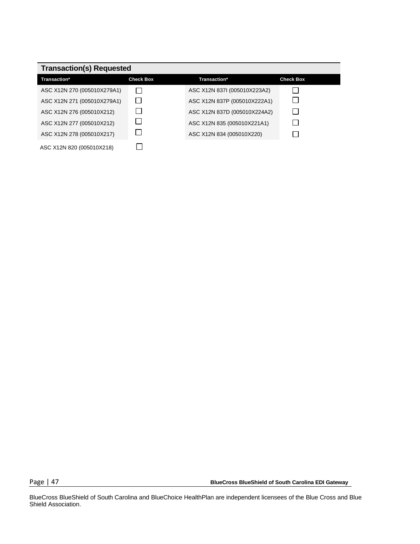| <b>Transaction(s) Requested</b> |                  |                              |                  |  |
|---------------------------------|------------------|------------------------------|------------------|--|
| <b>Transaction*</b>             | <b>Check Box</b> | Transaction*                 | <b>Check Box</b> |  |
| ASC X12N 270 (005010X279A1)     |                  | ASC X12N 837I (005010X223A2) |                  |  |
| ASC X12N 271 (005010X279A1)     |                  | ASC X12N 837P (005010X222A1) |                  |  |
| ASC X12N 276 (005010X212)       |                  | ASC X12N 837D (005010X224A2) |                  |  |
| ASC X12N 277 (005010X212)       |                  | ASC X12N 835 (005010X221A1)  |                  |  |
| ASC X12N 278 (005010X217)       |                  | ASC X12N 834 (005010X220)    |                  |  |
| ASC X12N 820 (005010X218)       |                  |                              |                  |  |

Page | 47 **BlueCross BlueShield of South Carolina EDI Gateway**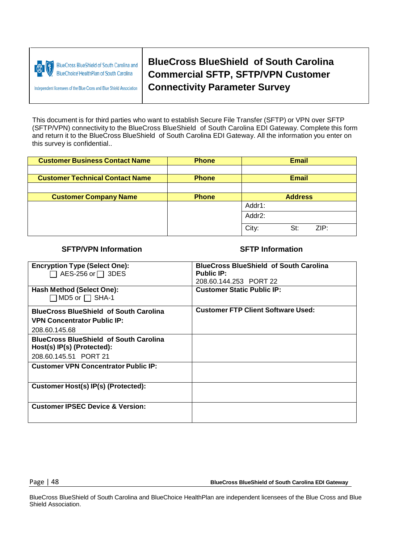

**BlueCross BlueShield of South Carolina and BlueChoice HealthPlan of South Carolina** 

**Independent licensees of the Blue Cross and Blue Shield Association** 

**BlueCross BlueShield of South Carolina Commercial SFTP, SFTP/VPN Customer Connectivity Parameter Survey**

This document is for third parties who want to establish Secure File Transfer (SFTP) or VPN over SFTP (SFTP/VPN) connectivity to the BlueCross BlueShield of South Carolina EDI Gateway. Complete this form and return it to the BlueCross BlueShield of South Carolina EDI Gateway. All the information you enter on this survey is confidential..

| <b>Customer Business Contact Name</b>  | <b>Phone</b> | <b>Email</b>         |
|----------------------------------------|--------------|----------------------|
|                                        |              |                      |
| <b>Customer Technical Contact Name</b> | <b>Phone</b> | Email                |
|                                        |              |                      |
| <b>Customer Company Name</b>           | <b>Phone</b> | <b>Address</b>       |
|                                        |              | Addr1:               |
|                                        |              | Addr2:               |
|                                        |              | City:<br>ZIP:<br>St: |

#### **SFTP/VPN Information SFTP Information**

| <b>Encryption Type (Select One):</b><br>AES-256 or $\Box$ 3DES | <b>BlueCross BlueShield of South Carolina</b><br><b>Public IP:</b> |
|----------------------------------------------------------------|--------------------------------------------------------------------|
|                                                                | 208.60.144.253 PORT 22                                             |
| Hash Method (Select One):<br>$\square$ MD5 or $\square$ SHA-1  | <b>Customer Static Public IP:</b>                                  |
| <b>BlueCross BlueShield of South Carolina</b>                  | <b>Customer FTP Client Software Used:</b>                          |
| <b>VPN Concentrator Public IP:</b>                             |                                                                    |
| 208.60.145.68                                                  |                                                                    |
| <b>BlueCross BlueShield of South Carolina</b>                  |                                                                    |
| Host(s) IP(s) (Protected):                                     |                                                                    |
| 208.60.145.51 PORT 21                                          |                                                                    |
| <b>Customer VPN Concentrator Public IP:</b>                    |                                                                    |
| Customer Host(s) IP(s) (Protected):                            |                                                                    |
| <b>Customer IPSEC Device &amp; Version:</b>                    |                                                                    |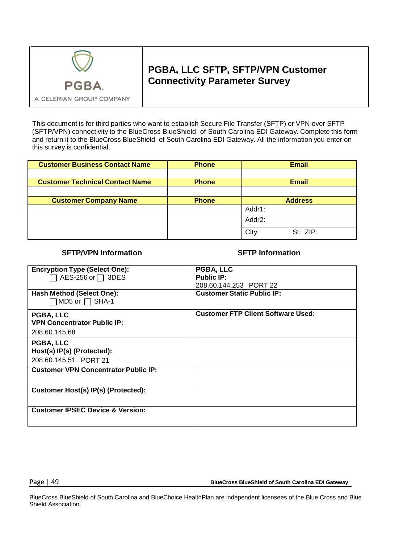

### **PGBA, LLC SFTP, SFTP/VPN Customer Connectivity Parameter Survey**

This document is for third parties who want to establish Secure File Transfer (SFTP) or VPN over SFTP (SFTP/VPN) connectivity to the BlueCross BlueShield of South Carolina EDI Gateway. Complete this form and return it to the BlueCross BlueShield of South Carolina EDI Gateway. All the information you enter on this survey is confidential.

| <b>Customer Business Contact Name</b>  | <b>Phone</b> | <b>Email</b>      |
|----------------------------------------|--------------|-------------------|
|                                        |              |                   |
| <b>Customer Technical Contact Name</b> | <b>Phone</b> | <b>Email</b>      |
|                                        |              |                   |
| <b>Customer Company Name</b>           | <b>Phone</b> | <b>Address</b>    |
|                                        |              | Addr1:            |
|                                        |              | Addr2:            |
|                                        |              | City:<br>St: ZIP: |

#### **SFTP/VPN Information SFTP Information**

| <b>Encryption Type (Select One):</b><br>AES-256 or $\Box$ 3DES | PGBA, LLC<br><b>Public IP:</b>            |
|----------------------------------------------------------------|-------------------------------------------|
|                                                                | 208.60.144.253 PORT 22                    |
| Hash Method (Select One):<br>$\Box$ MD5 or $\Box$ SHA-1        | <b>Customer Static Public IP:</b>         |
| <b>PGBA, LLC</b>                                               | <b>Customer FTP Client Software Used:</b> |
| <b>VPN Concentrator Public IP:</b>                             |                                           |
| 208.60.145.68                                                  |                                           |
| <b>PGBA, LLC</b>                                               |                                           |
| Host(s) IP(s) (Protected):                                     |                                           |
| 208.60.145.51 PORT 21                                          |                                           |
| <b>Customer VPN Concentrator Public IP:</b>                    |                                           |
| Customer Host(s) IP(s) (Protected):                            |                                           |
| <b>Customer IPSEC Device &amp; Version:</b>                    |                                           |

Page | 49 **BlueCross BlueShield of South Carolina EDI Gateway**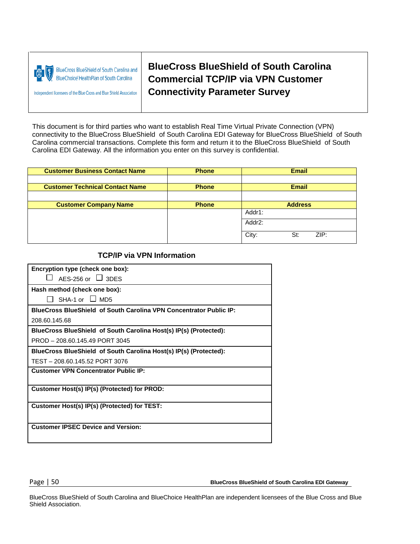|  | BlueCross BlueShield of South Carolina and<br>BlueChoice HealthPlan of South Carolina |
|--|---------------------------------------------------------------------------------------|
|--|---------------------------------------------------------------------------------------|

Independent licensees of the Blue Cross and Blue Shield Association

**BlueCross BlueShield of South Carolina Commercial TCP/IP via VPN Customer Connectivity Parameter Survey**

This document is for third parties who want to establish Real Time Virtual Private Connection (VPN) connectivity to the BlueCross BlueShield of South Carolina EDI Gateway for BlueCross BlueShield of South Carolina commercial transactions. Complete this form and return it to the BlueCross BlueShield of South Carolina EDI Gateway. All the information you enter on this survey is confidential.

| <b>Customer Business Contact Name</b>  | <b>Phone</b> | <b>Email</b>         |
|----------------------------------------|--------------|----------------------|
|                                        |              |                      |
| <b>Customer Technical Contact Name</b> | <b>Phone</b> | <b>Email</b>         |
|                                        |              |                      |
| <b>Customer Company Name</b>           | <b>Phone</b> | <b>Address</b>       |
|                                        |              | Addr1:               |
|                                        |              | Addr2:               |
|                                        |              | City:<br>ZIP:<br>St: |
|                                        |              |                      |

#### **TCP/IP via VPN Information**

| Encryption type (check one box):                                          |  |  |
|---------------------------------------------------------------------------|--|--|
| AES-256 or $\Box$ 3DES                                                    |  |  |
| Hash method (check one box):                                              |  |  |
| SHA-1 or $\Box$ MD5                                                       |  |  |
| <b>BlueCross BlueShield of South Carolina VPN Concentrator Public IP:</b> |  |  |
| 208.60.145.68                                                             |  |  |
| BlueCross BlueShield of South Carolina Host(s) IP(s) (Protected):         |  |  |
| PROD - 208.60.145.49 PORT 3045                                            |  |  |
| BlueCross BlueShield of South Carolina Host(s) IP(s) (Protected):         |  |  |
| TEST-208.60.145.52 PORT 3076                                              |  |  |
| <b>Customer VPN Concentrator Public IP:</b>                               |  |  |
|                                                                           |  |  |
| Customer Host(s) IP(s) (Protected) for PROD:                              |  |  |
| Customer Host(s) IP(s) (Protected) for TEST:                              |  |  |
|                                                                           |  |  |
| <b>Customer IPSEC Device and Version:</b>                                 |  |  |
|                                                                           |  |  |

Page | 50 **BlueCross BlueShield of South Carolina EDI Gateway**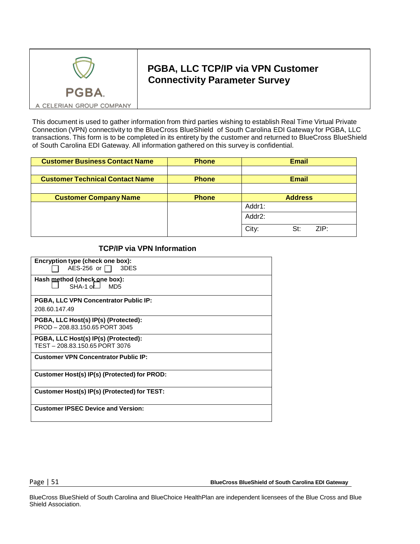

### **PGBA, LLC TCP/IP via VPN Customer Connectivity Parameter Survey**

A CELERIAN GROUP COMPANY

This document is used to gather information from third parties wishing to establish Real Time Virtual Private Connection (VPN) connectivity to the BlueCross BlueShield of South Carolina EDI Gateway for PGBA, LLC transactions. This form is to be completed in its entirety by the customer and returned to BlueCross BlueShield of South Carolina EDI Gateway. All information gathered on this survey is confidential.

| <b>Customer Business Contact Name</b>  | <b>Phone</b> | <b>Email</b>         |
|----------------------------------------|--------------|----------------------|
|                                        |              |                      |
| <b>Customer Technical Contact Name</b> | <b>Phone</b> | <b>Email</b>         |
|                                        |              |                      |
| <b>Customer Company Name</b>           | <b>Phone</b> | <b>Address</b>       |
|                                        |              | Addr1:               |
|                                        |              | Addr2:               |
|                                        |              | City:<br>ZIP:<br>St: |

#### **TCP/IP via VPN Information**

| Encryption type (check one box):                 |
|--------------------------------------------------|
| $AES-256$ or $  \cdot  $<br>3DES                 |
| Hash method (check one box):<br>$SHA-1$ of $MDS$ |
| <b>PGBA, LLC VPN Concentrator Public IP:</b>     |
| 208.60.147.49                                    |
| PGBA, LLC Host(s) IP(s) (Protected):             |
| PROD - 208.83.150.65 PORT 3045                   |
| PGBA, LLC Host(s) IP(s) (Protected):             |
| TEST-208.83.150.65 PORT 3076                     |
| <b>Customer VPN Concentrator Public IP:</b>      |
| Customer Host(s) IP(s) (Protected) for PROD:     |
| Customer Host(s) IP(s) (Protected) for TEST:     |
| <b>Customer IPSEC Device and Version:</b>        |

Page | 51 **BlueCross BlueShield of South Carolina EDI Gateway**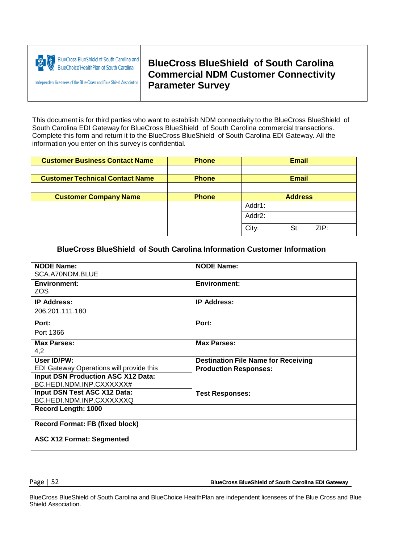

Independent licensees of the Blue Cross and Blue Shield Association

**BlueCross BlueShield of South Carolina Commercial NDM Customer Connectivity Parameter Survey**

This document is for third parties who want to establish NDM connectivity to the BlueCross BlueShield of South Carolina EDI Gateway for BlueCross BlueShield of South Carolina commercial transactions. Complete this form and return it to the BlueCross BlueShield of South Carolina EDI Gateway. All the information you enter on this survey is confidential.

| <b>Customer Business Contact Name</b>  | <b>Phone</b> | <b>Email</b>         |
|----------------------------------------|--------------|----------------------|
|                                        |              |                      |
| <b>Customer Technical Contact Name</b> | <b>Phone</b> | <b>Email</b>         |
|                                        |              |                      |
| <b>Customer Company Name</b>           | <b>Phone</b> | <b>Address</b>       |
|                                        |              | Addr1:               |
|                                        |              | Addr2:               |
|                                        |              | City:<br>ZIP:<br>St: |

#### **BlueCross BlueShield of South Carolina Information Customer Information**

| <b>NODE Name:</b>                         | <b>NODE Name:</b>                          |
|-------------------------------------------|--------------------------------------------|
| SCA.A70NDM.BLUE                           |                                            |
| <b>Environment:</b>                       | <b>Environment:</b>                        |
| ZOS.                                      |                                            |
| <b>IP Address:</b>                        | <b>IP Address:</b>                         |
| 206.201.111.180                           |                                            |
| Port:                                     | Port:                                      |
| Port 1366                                 |                                            |
| <b>Max Parses:</b>                        | <b>Max Parses:</b>                         |
| 4,2                                       |                                            |
| User ID/PW:                               | <b>Destination File Name for Receiving</b> |
| EDI Gateway Operations will provide this  | <b>Production Responses:</b>               |
| <b>Input DSN Production ASC X12 Data:</b> |                                            |
| BC.HEDI.NDM.INP.CXXXXXX#                  |                                            |
| Input DSN Test ASC X12 Data:              | <b>Test Responses:</b>                     |
| BC.HEDI.NDM.INP.CXXXXXXQ                  |                                            |
| Record Length: 1000                       |                                            |
| <b>Record Format: FB (fixed block)</b>    |                                            |
| <b>ASC X12 Format: Segmented</b>          |                                            |

Page | 52 **BlueCross BlueShield of South Carolina EDI Gateway**